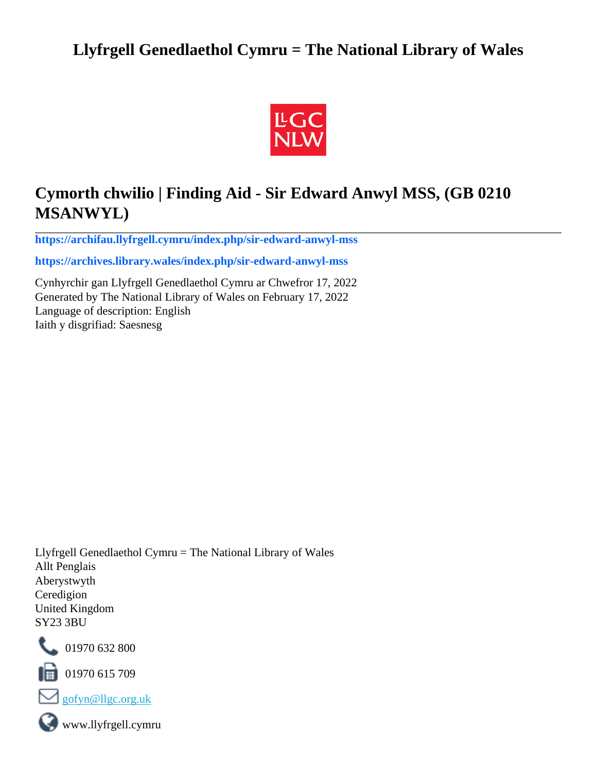# **Llyfrgell Genedlaethol Cymru = The National Library of Wales**



# **Cymorth chwilio | Finding Aid - Sir Edward Anwyl MSS, (GB 0210 MSANWYL)**

**[https://archifau.llyfrgell.cymru/index.php/sir-edward-anwyl-mss](https://archifau.llyfrgell.cymru/index.php/sir-edward-anwyl-mss;isad?sf_culture=cy)**

**[https://archives.library.wales/index.php/sir-edward-anwyl-mss](https://archives.library.wales/index.php/sir-edward-anwyl-mss;isad?sf_culture=en)**

Cynhyrchir gan Llyfrgell Genedlaethol Cymru ar Chwefror 17, 2022 Generated by The National Library of Wales on February 17, 2022 Language of description: English Iaith y disgrifiad: Saesnesg

Llyfrgell Genedlaethol Cymru = The National Library of Wales Allt Penglais Aberystwyth Ceredigion United Kingdom SY23 3BU



101970 632 800

 $\blacksquare$  01970 615 709



www.llyfrgell.cymru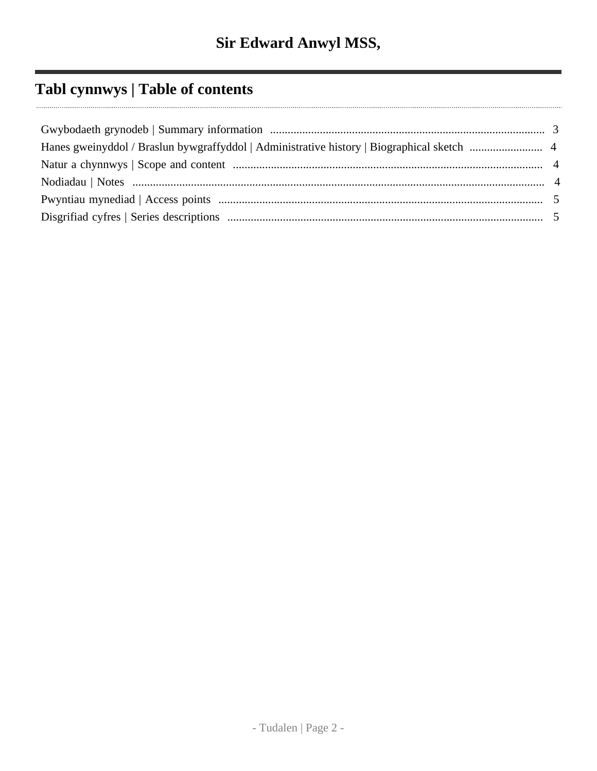# **Tabl cynnwys | Table of contents**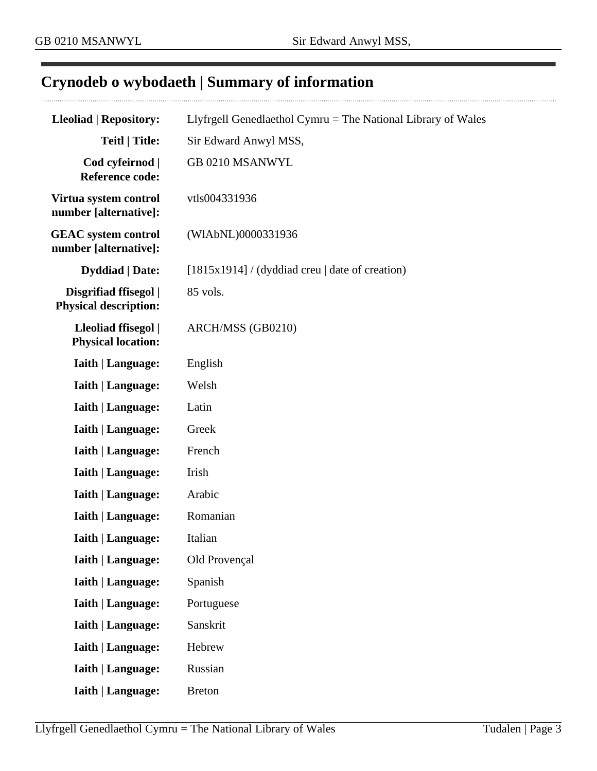# <span id="page-2-0"></span>**Crynodeb o wybodaeth | Summary of information**

| <b>Lleoliad   Repository:</b>                         | Llyfrgell Genedlaethol Cymru = The National Library of Wales |  |
|-------------------------------------------------------|--------------------------------------------------------------|--|
| <b>Teitl   Title:</b>                                 | Sir Edward Anwyl MSS,                                        |  |
| Cod cyfeirnod  <br><b>Reference code:</b>             | GB 0210 MSANWYL                                              |  |
| Virtua system control<br>number [alternative]:        | vtls004331936                                                |  |
| <b>GEAC</b> system control<br>number [alternative]:   | (WIAbNL)0000331936                                           |  |
| <b>Dyddiad</b>   Date:                                | $[1815x1914]$ / (dyddiad creu   date of creation)            |  |
| Disgrifiad ffisegol  <br><b>Physical description:</b> | 85 vols.                                                     |  |
| Lleoliad ffisegol  <br><b>Physical location:</b>      | ARCH/MSS (GB0210)                                            |  |
| <b>Iaith   Language:</b>                              | English                                                      |  |
| <b>Iaith   Language:</b>                              | Welsh                                                        |  |
| <b>Iaith   Language:</b>                              | Latin                                                        |  |
| <b>Iaith   Language:</b>                              | Greek                                                        |  |
| <b>Iaith   Language:</b>                              | French                                                       |  |
| <b>Iaith   Language:</b>                              | Irish                                                        |  |
| <b>Iaith   Language:</b>                              | Arabic                                                       |  |
| <b>Iaith   Language:</b>                              | Romanian                                                     |  |
| <b>Iaith   Language:</b>                              | Italian                                                      |  |
| <b>Iaith   Language:</b>                              | Old Provençal                                                |  |
| <b>Iaith   Language:</b>                              | Spanish                                                      |  |
| <b>Iaith   Language:</b>                              | Portuguese                                                   |  |
| <b>Iaith   Language:</b>                              | Sanskrit                                                     |  |
| <b>Iaith   Language:</b>                              | Hebrew                                                       |  |
| <b>Iaith   Language:</b>                              | Russian                                                      |  |
| <b>Iaith   Language:</b>                              | <b>Breton</b>                                                |  |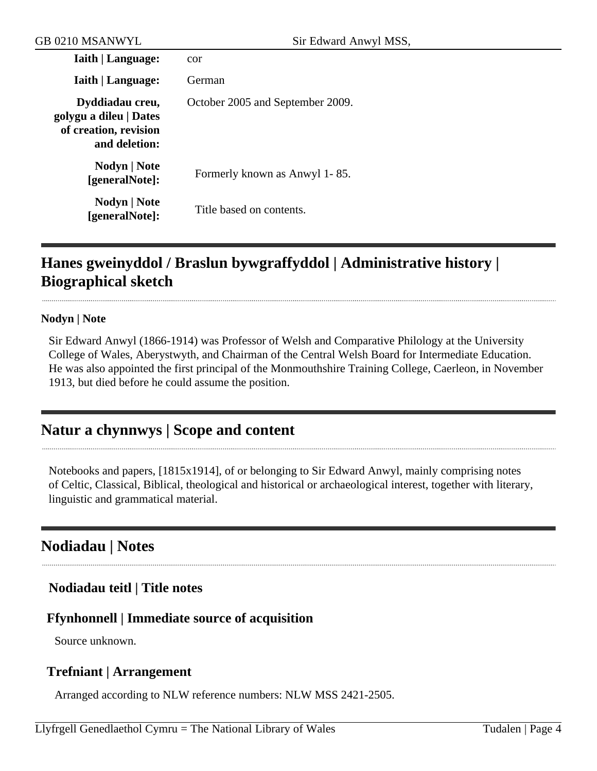| <b>Iaith   Language:</b>                                                            | cor                              |
|-------------------------------------------------------------------------------------|----------------------------------|
| <b>Iaith   Language:</b>                                                            | German                           |
| Dyddiadau creu,<br>golygu a dileu   Dates<br>of creation, revision<br>and deletion: | October 2005 and September 2009. |
| Nodyn   Note<br>[generalNote]:                                                      | Formerly known as Anwyl 1-85.    |
| Nodyn   Note<br>[generalNote]:                                                      | Title based on contents.         |

# <span id="page-3-0"></span>**Hanes gweinyddol / Braslun bywgraffyddol | Administrative history | Biographical sketch**

#### **Nodyn | Note**

Sir Edward Anwyl (1866-1914) was Professor of Welsh and Comparative Philology at the University College of Wales, Aberystwyth, and Chairman of the Central Welsh Board for Intermediate Education. He was also appointed the first principal of the Monmouthshire Training College, Caerleon, in November 1913, but died before he could assume the position.

## <span id="page-3-1"></span>**Natur a chynnwys | Scope and content**

Notebooks and papers, [1815x1914], of or belonging to Sir Edward Anwyl, mainly comprising notes of Celtic, Classical, Biblical, theological and historical or archaeological interest, together with literary, linguistic and grammatical material.

## <span id="page-3-2"></span>**Nodiadau | Notes**

### **Nodiadau teitl | Title notes**

### **Ffynhonnell | Immediate source of acquisition**

Source unknown.

### **Trefniant | Arrangement**

Arranged according to NLW reference numbers: NLW MSS 2421-2505.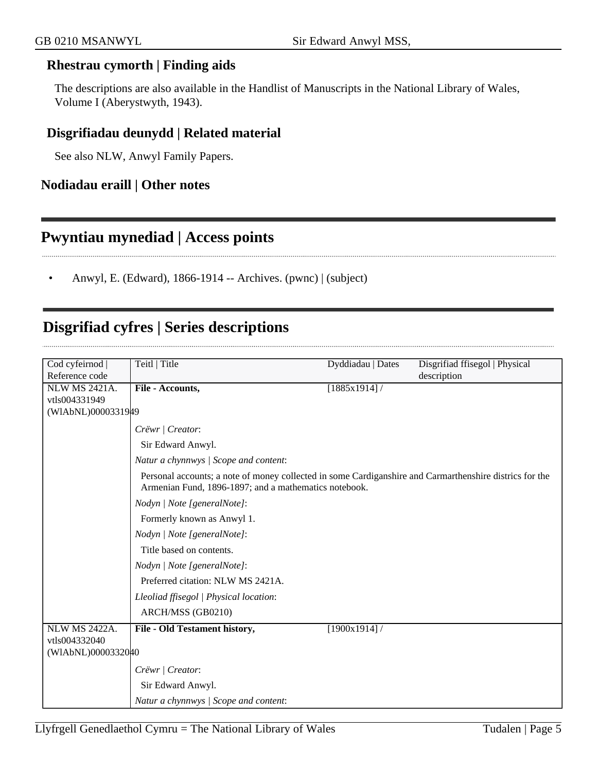#### **Rhestrau cymorth | Finding aids**

The descriptions are also available in the Handlist of Manuscripts in the National Library of Wales, Volume I (Aberystwyth, 1943).

### **Disgrifiadau deunydd | Related material**

See also NLW, Anwyl Family Papers.

#### **Nodiadau eraill | Other notes**

### <span id="page-4-0"></span>**Pwyntiau mynediad | Access points**

• Anwyl, E. (Edward), 1866-1914 -- Archives. (pwnc) | (subject)

# <span id="page-4-1"></span>**Disgrifiad cyfres | Series descriptions**

| Cod cyfeirnod        | Teitl   Title                                                                                                                                                    | Dyddiadau   Dates | Disgrifiad ffisegol   Physical |
|----------------------|------------------------------------------------------------------------------------------------------------------------------------------------------------------|-------------------|--------------------------------|
| Reference code       |                                                                                                                                                                  |                   | description                    |
| <b>NLW MS 2421A.</b> | File - Accounts,                                                                                                                                                 | [1885x1914]/      |                                |
| vtls004331949        |                                                                                                                                                                  |                   |                                |
| (WIAbNL)0000331949   |                                                                                                                                                                  |                   |                                |
|                      | Crëwr   Creator:                                                                                                                                                 |                   |                                |
|                      | Sir Edward Anwyl.                                                                                                                                                |                   |                                |
|                      | Natur a chynnwys / Scope and content:                                                                                                                            |                   |                                |
|                      | Personal accounts; a note of money collected in some Cardiganshire and Carmarthenshire districs for the<br>Armenian Fund, 1896-1897; and a mathematics notebook. |                   |                                |
|                      | Nodyn   Note [generalNote]:                                                                                                                                      |                   |                                |
|                      | Formerly known as Anwyl 1.                                                                                                                                       |                   |                                |
|                      | Nodyn   Note [generalNote]:                                                                                                                                      |                   |                                |
|                      | Title based on contents.                                                                                                                                         |                   |                                |
|                      | Nodyn   Note [generalNote]:                                                                                                                                      |                   |                                |
|                      | Preferred citation: NLW MS 2421A.                                                                                                                                |                   |                                |
|                      | Lleoliad ffisegol   Physical location:                                                                                                                           |                   |                                |
|                      | ARCH/MSS (GB0210)                                                                                                                                                |                   |                                |
| <b>NLW MS 2422A.</b> | File - Old Testament history,                                                                                                                                    | [1900x1914]       |                                |
| vtls004332040        |                                                                                                                                                                  |                   |                                |
| (WIAbNL)0000332040   |                                                                                                                                                                  |                   |                                |
|                      | Crëwr   Creator:                                                                                                                                                 |                   |                                |
|                      | Sir Edward Anwyl.                                                                                                                                                |                   |                                |
|                      | Natur a chynnwys / Scope and content:                                                                                                                            |                   |                                |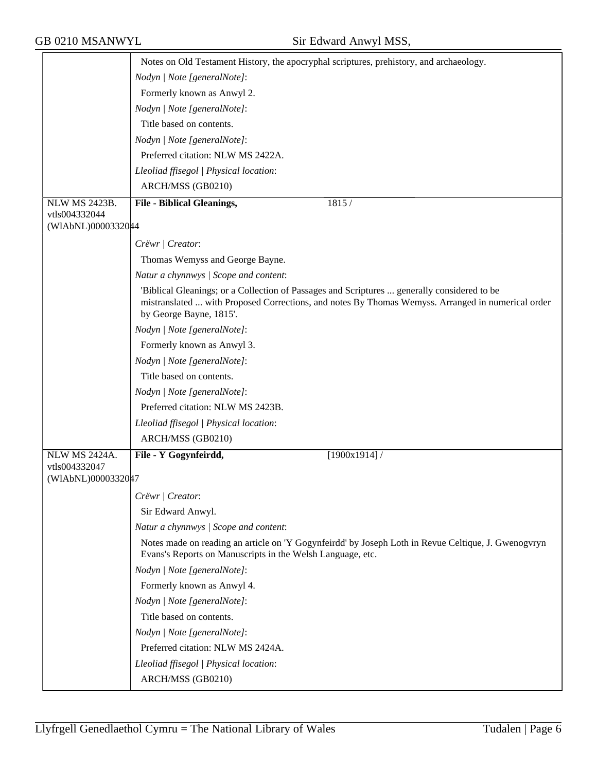|                                     | Notes on Old Testament History, the apocryphal scriptures, prehistory, and archaeology.                                                                                                                                     |  |  |
|-------------------------------------|-----------------------------------------------------------------------------------------------------------------------------------------------------------------------------------------------------------------------------|--|--|
|                                     | Nodyn   Note [generalNote]:                                                                                                                                                                                                 |  |  |
|                                     | Formerly known as Anwyl 2.                                                                                                                                                                                                  |  |  |
|                                     | Nodyn   Note [generalNote]:                                                                                                                                                                                                 |  |  |
|                                     | Title based on contents.                                                                                                                                                                                                    |  |  |
|                                     | Nodyn   Note [generalNote]:                                                                                                                                                                                                 |  |  |
|                                     | Preferred citation: NLW MS 2422A.                                                                                                                                                                                           |  |  |
|                                     | Lleoliad ffisegol   Physical location:                                                                                                                                                                                      |  |  |
|                                     | ARCH/MSS (GB0210)                                                                                                                                                                                                           |  |  |
| <b>NLW MS 2423B.</b>                | <b>File - Biblical Gleanings,</b><br>1815 /                                                                                                                                                                                 |  |  |
| vtls004332044                       |                                                                                                                                                                                                                             |  |  |
| (WIAbNL)0000332044                  |                                                                                                                                                                                                                             |  |  |
|                                     | Crëwr   Creator:                                                                                                                                                                                                            |  |  |
|                                     | Thomas Wemyss and George Bayne.                                                                                                                                                                                             |  |  |
|                                     | Natur a chynnwys / Scope and content:                                                                                                                                                                                       |  |  |
|                                     | 'Biblical Gleanings; or a Collection of Passages and Scriptures  generally considered to be<br>mistranslated  with Proposed Corrections, and notes By Thomas Wemyss. Arranged in numerical order<br>by George Bayne, 1815'. |  |  |
|                                     | Nodyn   Note [generalNote]:                                                                                                                                                                                                 |  |  |
|                                     | Formerly known as Anwyl 3.                                                                                                                                                                                                  |  |  |
|                                     | Nodyn   Note [generalNote]:                                                                                                                                                                                                 |  |  |
|                                     | Title based on contents.                                                                                                                                                                                                    |  |  |
|                                     | Nodyn   Note [generalNote]:                                                                                                                                                                                                 |  |  |
|                                     | Preferred citation: NLW MS 2423B.                                                                                                                                                                                           |  |  |
|                                     | Lleoliad ffisegol   Physical location:                                                                                                                                                                                      |  |  |
|                                     | ARCH/MSS (GB0210)                                                                                                                                                                                                           |  |  |
| <b>NLW MS 2424A.</b>                | File - Y Gogynfeirdd,<br>[1900x1914]                                                                                                                                                                                        |  |  |
| vtls004332047<br>(WIAbNL)0000332047 |                                                                                                                                                                                                                             |  |  |
|                                     | Crëwr   Creator:                                                                                                                                                                                                            |  |  |
|                                     | Sir Edward Anwyl.                                                                                                                                                                                                           |  |  |
|                                     | Natur a chynnwys / Scope and content:                                                                                                                                                                                       |  |  |
|                                     | Notes made on reading an article on 'Y Gogynfeirdd' by Joseph Loth in Revue Celtique, J. Gwenogvryn<br>Evans's Reports on Manuscripts in the Welsh Language, etc.                                                           |  |  |
|                                     | Nodyn   Note [generalNote]:                                                                                                                                                                                                 |  |  |
|                                     | Formerly known as Anwyl 4.                                                                                                                                                                                                  |  |  |
|                                     | Nodyn   Note [generalNote]:                                                                                                                                                                                                 |  |  |
|                                     | Title based on contents.                                                                                                                                                                                                    |  |  |
|                                     | Nodyn   Note [generalNote]:                                                                                                                                                                                                 |  |  |
|                                     | Preferred citation: NLW MS 2424A.                                                                                                                                                                                           |  |  |
|                                     | Lleoliad ffisegol   Physical location:                                                                                                                                                                                      |  |  |
|                                     | ARCH/MSS (GB0210)                                                                                                                                                                                                           |  |  |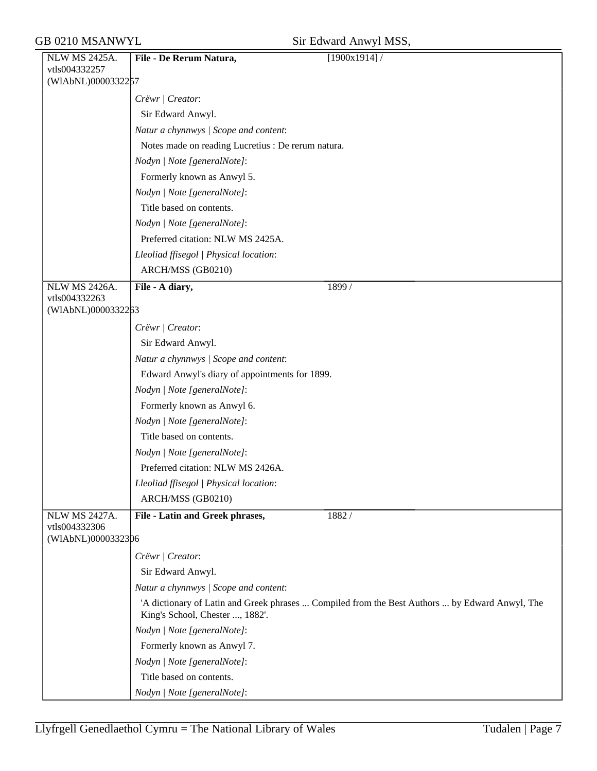|  | Sir Edward Anwyl MSS, |  |  |
|--|-----------------------|--|--|
|--|-----------------------|--|--|

| <b>NLW MS 2425A.</b>                | $\mathbf{u}$ . Equal $\mathbf{u}$ is the state $\mathbf{v}$<br>File - De Rerum Natura,<br>[1900x1914] |  |  |
|-------------------------------------|-------------------------------------------------------------------------------------------------------|--|--|
| vtls004332257                       |                                                                                                       |  |  |
| (WIAbNL)0000332257                  |                                                                                                       |  |  |
|                                     | Crëwr   Creator:                                                                                      |  |  |
|                                     | Sir Edward Anwyl.                                                                                     |  |  |
|                                     | Natur a chynnwys / Scope and content:                                                                 |  |  |
|                                     | Notes made on reading Lucretius : De rerum natura.                                                    |  |  |
|                                     | Nodyn   Note [generalNote]:                                                                           |  |  |
|                                     | Formerly known as Anwyl 5.                                                                            |  |  |
|                                     | Nodyn   Note [generalNote]:                                                                           |  |  |
|                                     | Title based on contents.                                                                              |  |  |
|                                     | Nodyn   Note [generalNote]:                                                                           |  |  |
|                                     | Preferred citation: NLW MS 2425A.                                                                     |  |  |
|                                     | Lleoliad ffisegol   Physical location:                                                                |  |  |
|                                     | ARCH/MSS (GB0210)                                                                                     |  |  |
| <b>NLW MS 2426A.</b>                | File - A diary,<br>1899 /                                                                             |  |  |
| vtls004332263                       |                                                                                                       |  |  |
| (WIAbNL)0000332263                  |                                                                                                       |  |  |
|                                     | Crëwr   Creator:                                                                                      |  |  |
|                                     | Sir Edward Anwyl.                                                                                     |  |  |
|                                     | Natur a chynnwys / Scope and content:                                                                 |  |  |
|                                     | Edward Anwyl's diary of appointments for 1899.                                                        |  |  |
|                                     | Nodyn   Note [generalNote]:                                                                           |  |  |
|                                     | Formerly known as Anwyl 6.                                                                            |  |  |
|                                     | Nodyn   Note [generalNote]:                                                                           |  |  |
|                                     | Title based on contents.                                                                              |  |  |
|                                     | Nodyn   Note [generalNote]:                                                                           |  |  |
|                                     | Preferred citation: NLW MS 2426A.                                                                     |  |  |
|                                     | Lleoliad ffisegol   Physical location:                                                                |  |  |
|                                     | ARCH/MSS (GB0210)                                                                                     |  |  |
| <b>NLW MS 2427A.</b>                | 1882/<br>File - Latin and Greek phrases,                                                              |  |  |
| vtls004332306<br>(WIAbNL)0000332306 |                                                                                                       |  |  |
|                                     | Crëwr   Creator:                                                                                      |  |  |
|                                     | Sir Edward Anwyl.                                                                                     |  |  |
|                                     | Natur a chynnwys / Scope and content:                                                                 |  |  |
|                                     | 'A dictionary of Latin and Greek phrases  Compiled from the Best Authors  by Edward Anwyl, The        |  |  |
|                                     | King's School, Chester , 1882'.                                                                       |  |  |
|                                     | Nodyn   Note [generalNote]:                                                                           |  |  |
|                                     | Formerly known as Anwyl 7.                                                                            |  |  |
|                                     | Nodyn   Note [generalNote]:                                                                           |  |  |
|                                     | Title based on contents.                                                                              |  |  |
|                                     | Nodyn   Note [generalNote]:                                                                           |  |  |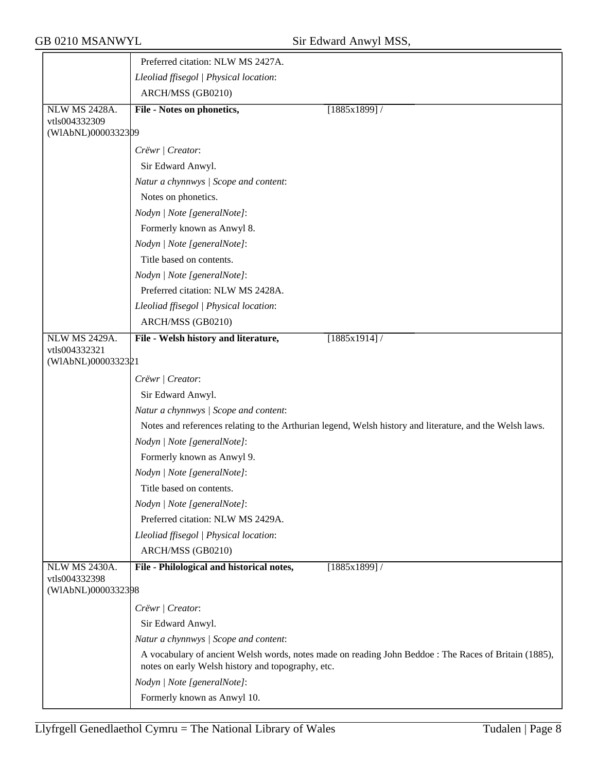|                                       | Preferred citation: NLW MS 2427A.                 |                                                                                                          |
|---------------------------------------|---------------------------------------------------|----------------------------------------------------------------------------------------------------------|
|                                       | Lleoliad ffisegol   Physical location:            |                                                                                                          |
|                                       | ARCH/MSS (GB0210)                                 |                                                                                                          |
| <b>NLW MS 2428A.</b>                  | <b>File - Notes on phonetics,</b>                 | [1885x1899]/                                                                                             |
| vtls004332309                         |                                                   |                                                                                                          |
| (WIAbNL)0000332309                    |                                                   |                                                                                                          |
|                                       | Crëwr   Creator:                                  |                                                                                                          |
|                                       | Sir Edward Anwyl.                                 |                                                                                                          |
|                                       | Natur a chynnwys / Scope and content:             |                                                                                                          |
|                                       | Notes on phonetics.                               |                                                                                                          |
|                                       | Nodyn   Note [generalNote]:                       |                                                                                                          |
|                                       | Formerly known as Anwyl 8.                        |                                                                                                          |
|                                       | Nodyn   Note [generalNote]:                       |                                                                                                          |
|                                       | Title based on contents.                          |                                                                                                          |
|                                       | Nodyn   Note [generalNote]:                       |                                                                                                          |
|                                       | Preferred citation: NLW MS 2428A.                 |                                                                                                          |
|                                       | Lleoliad ffisegol   Physical location:            |                                                                                                          |
|                                       | ARCH/MSS (GB0210)                                 |                                                                                                          |
| <b>NLW MS 2429A.</b>                  | File - Welsh history and literature,              | [1885x1914]/                                                                                             |
| vtls004332321<br>(WIAbNL)0000332321   |                                                   |                                                                                                          |
|                                       |                                                   |                                                                                                          |
|                                       | Crëwr   Creator:                                  |                                                                                                          |
|                                       | Sir Edward Anwyl.                                 |                                                                                                          |
|                                       | Natur a chynnwys / Scope and content:             |                                                                                                          |
|                                       |                                                   | Notes and references relating to the Arthurian legend, Welsh history and literature, and the Welsh laws. |
|                                       | Nodyn   Note [generalNote]:                       |                                                                                                          |
|                                       | Formerly known as Anwyl 9.                        |                                                                                                          |
|                                       | Nodyn   Note [generalNote]:                       |                                                                                                          |
|                                       | Title based on contents.                          |                                                                                                          |
|                                       | Nodyn   Note [generalNote]:                       |                                                                                                          |
|                                       | Preferred citation: NLW MS 2429A.                 |                                                                                                          |
|                                       | Lleoliad ffisegol   Physical location:            |                                                                                                          |
|                                       | ARCH/MSS (GB0210)                                 |                                                                                                          |
| <b>NLW MS 2430A.</b><br>vtls004332398 | File - Philological and historical notes,         | [1885x1899]                                                                                              |
| (WIAbNL)0000332398                    |                                                   |                                                                                                          |
|                                       | Crëwr   Creator:                                  |                                                                                                          |
|                                       | Sir Edward Anwyl.                                 |                                                                                                          |
|                                       | Natur a chynnwys / Scope and content:             |                                                                                                          |
|                                       | notes on early Welsh history and topography, etc. | A vocabulary of ancient Welsh words, notes made on reading John Beddoe : The Races of Britain (1885),    |
|                                       | Nodyn   Note [generalNote]:                       |                                                                                                          |
|                                       | Formerly known as Anwyl 10.                       |                                                                                                          |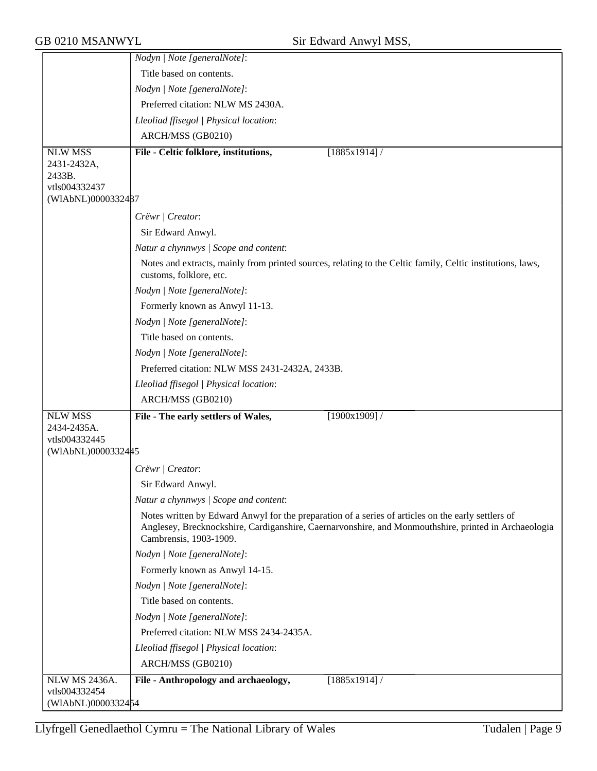|                         | Nodyn   Note [generalNote]:                                                                                                                                                                                                          |
|-------------------------|--------------------------------------------------------------------------------------------------------------------------------------------------------------------------------------------------------------------------------------|
|                         | Title based on contents.                                                                                                                                                                                                             |
|                         | Nodyn   Note [generalNote]:                                                                                                                                                                                                          |
|                         | Preferred citation: NLW MS 2430A.                                                                                                                                                                                                    |
|                         | Lleoliad ffisegol   Physical location:                                                                                                                                                                                               |
|                         | ARCH/MSS (GB0210)                                                                                                                                                                                                                    |
| <b>NLW MSS</b>          | File - Celtic folklore, institutions,<br>$[1885x1914]$ /                                                                                                                                                                             |
| 2431-2432A,             |                                                                                                                                                                                                                                      |
| 2433B.<br>vtls004332437 |                                                                                                                                                                                                                                      |
| (WIAbNL)0000332487      |                                                                                                                                                                                                                                      |
|                         | Crëwr   Creator:                                                                                                                                                                                                                     |
|                         | Sir Edward Anwyl.                                                                                                                                                                                                                    |
|                         | Natur a chynnwys / Scope and content:                                                                                                                                                                                                |
|                         | Notes and extracts, mainly from printed sources, relating to the Celtic family, Celtic institutions, laws,                                                                                                                           |
|                         | customs, folklore, etc.                                                                                                                                                                                                              |
|                         | Nodyn   Note [generalNote]:                                                                                                                                                                                                          |
|                         | Formerly known as Anwyl 11-13.                                                                                                                                                                                                       |
|                         | Nodyn   Note [generalNote]:                                                                                                                                                                                                          |
|                         | Title based on contents.                                                                                                                                                                                                             |
|                         | Nodyn   Note [generalNote]:                                                                                                                                                                                                          |
|                         | Preferred citation: NLW MSS 2431-2432A, 2433B.                                                                                                                                                                                       |
|                         | Lleoliad ffisegol   Physical location:                                                                                                                                                                                               |
|                         | ARCH/MSS (GB0210)                                                                                                                                                                                                                    |
| <b>NLW MSS</b>          | File - The early settlers of Wales,<br>[1900x1909]                                                                                                                                                                                   |
| 2434-2435A.             |                                                                                                                                                                                                                                      |
| vtls004332445           |                                                                                                                                                                                                                                      |
| (WIAbNL)0000332445      |                                                                                                                                                                                                                                      |
|                         | Crëwr   Creator:                                                                                                                                                                                                                     |
|                         | Sir Edward Anwyl.                                                                                                                                                                                                                    |
|                         | Natur a chynnwys / Scope and content:                                                                                                                                                                                                |
|                         | Notes written by Edward Anwyl for the preparation of a series of articles on the early settlers of<br>Anglesey, Brecknockshire, Cardiganshire, Caernarvonshire, and Monmouthshire, printed in Archaeologia<br>Cambrensis, 1903-1909. |
|                         | Nodyn   Note [generalNote]:                                                                                                                                                                                                          |
|                         | Formerly known as Anwyl 14-15.                                                                                                                                                                                                       |
|                         | Nodyn   Note [generalNote]:                                                                                                                                                                                                          |
|                         | Title based on contents.                                                                                                                                                                                                             |
|                         | Nodyn   Note [generalNote]:                                                                                                                                                                                                          |
|                         | Preferred citation: NLW MSS 2434-2435A.                                                                                                                                                                                              |
|                         | Lleoliad ffisegol   Physical location:                                                                                                                                                                                               |
|                         | ARCH/MSS (GB0210)                                                                                                                                                                                                                    |
| <b>NLW MS 2436A.</b>    | File - Anthropology and archaeology,<br>$[1885x1914]$ /                                                                                                                                                                              |
| vtls004332454           |                                                                                                                                                                                                                                      |
| (WIAbNL)0000332454      |                                                                                                                                                                                                                                      |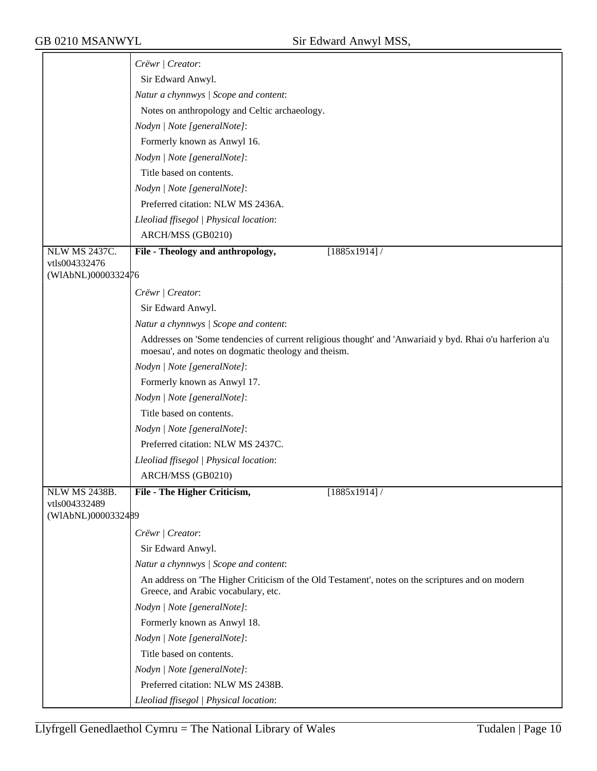|                                     | Crëwr   Creator:                                                                                                                                                |  |  |
|-------------------------------------|-----------------------------------------------------------------------------------------------------------------------------------------------------------------|--|--|
|                                     | Sir Edward Anwyl.                                                                                                                                               |  |  |
|                                     | Natur a chynnwys / Scope and content:                                                                                                                           |  |  |
|                                     | Notes on anthropology and Celtic archaeology.                                                                                                                   |  |  |
|                                     | Nodyn   Note [generalNote]:                                                                                                                                     |  |  |
|                                     | Formerly known as Anwyl 16.                                                                                                                                     |  |  |
|                                     | Nodyn   Note [generalNote]:                                                                                                                                     |  |  |
|                                     | Title based on contents.                                                                                                                                        |  |  |
|                                     | Nodyn   Note [generalNote]:                                                                                                                                     |  |  |
|                                     | Preferred citation: NLW MS 2436A.                                                                                                                               |  |  |
|                                     | Lleoliad ffisegol   Physical location:                                                                                                                          |  |  |
|                                     | ARCH/MSS (GB0210)                                                                                                                                               |  |  |
| <b>NLW MS 2437C.</b>                | File - Theology and anthropology,<br>$[1885x1914]$ /                                                                                                            |  |  |
| vtls004332476                       |                                                                                                                                                                 |  |  |
| (WIAbNL)0000332476                  |                                                                                                                                                                 |  |  |
|                                     | Crëwr   Creator:                                                                                                                                                |  |  |
|                                     | Sir Edward Anwyl.                                                                                                                                               |  |  |
|                                     | Natur a chynnwys / Scope and content:                                                                                                                           |  |  |
|                                     | Addresses on 'Some tendencies of current religious thought' and 'Anwariaid y byd. Rhai o'u harferion a'u<br>moesau', and notes on dogmatic theology and theism. |  |  |
|                                     | Nodyn   Note [generalNote]:                                                                                                                                     |  |  |
|                                     | Formerly known as Anwyl 17.                                                                                                                                     |  |  |
|                                     | Nodyn   Note [generalNote]:                                                                                                                                     |  |  |
|                                     | Title based on contents.                                                                                                                                        |  |  |
|                                     | Nodyn   Note [generalNote]:                                                                                                                                     |  |  |
|                                     | Preferred citation: NLW MS 2437C.                                                                                                                               |  |  |
|                                     | Lleoliad ffisegol   Physical location:                                                                                                                          |  |  |
|                                     | ARCH/MSS (GB0210)                                                                                                                                               |  |  |
| NLW MS 2438B.                       | File - The Higher Criticism,<br>[1885x1914]                                                                                                                     |  |  |
| vtls004332489<br>(WIAbNL)0000332489 |                                                                                                                                                                 |  |  |
|                                     | Crëwr   Creator:                                                                                                                                                |  |  |
|                                     | Sir Edward Anwyl.                                                                                                                                               |  |  |
|                                     | Natur a chynnwys / Scope and content:                                                                                                                           |  |  |
|                                     | An address on 'The Higher Criticism of the Old Testament', notes on the scriptures and on modern<br>Greece, and Arabic vocabulary, etc.                         |  |  |
|                                     | Nodyn   Note [generalNote]:                                                                                                                                     |  |  |
|                                     | Formerly known as Anwyl 18.                                                                                                                                     |  |  |
|                                     | Nodyn   Note [generalNote]:                                                                                                                                     |  |  |
|                                     | Title based on contents.                                                                                                                                        |  |  |
|                                     | Nodyn   Note [generalNote]:                                                                                                                                     |  |  |
|                                     | Preferred citation: NLW MS 2438B.                                                                                                                               |  |  |
|                                     | Lleoliad ffisegol   Physical location:                                                                                                                          |  |  |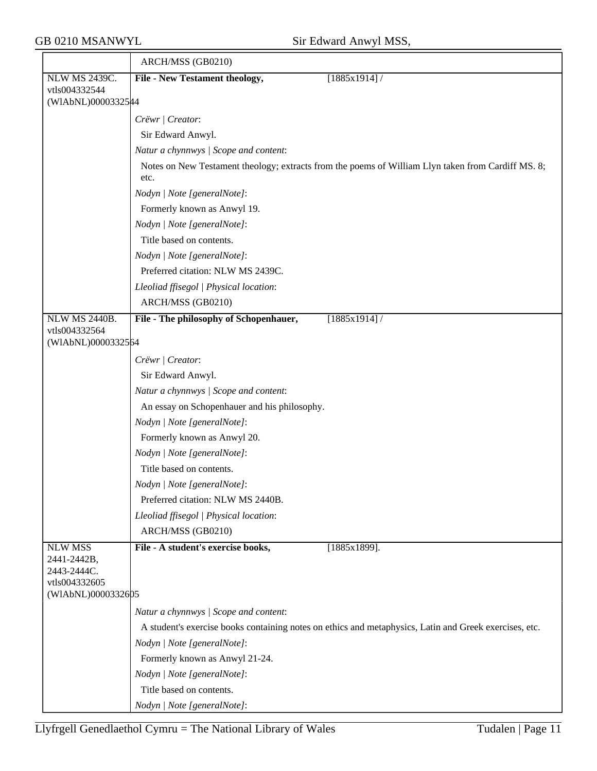|                                     | ARCH/MSS (GB0210)                                                                                          |  |  |  |
|-------------------------------------|------------------------------------------------------------------------------------------------------------|--|--|--|
| <b>NLW MS 2439C.</b>                | File - New Testament theology,<br>[1885x1914]/                                                             |  |  |  |
| vtls004332544<br>(WIAbNL)00003325#4 |                                                                                                            |  |  |  |
|                                     |                                                                                                            |  |  |  |
|                                     | Crëwr   Creator:                                                                                           |  |  |  |
|                                     | Sir Edward Anwyl.                                                                                          |  |  |  |
|                                     | Natur a chynnwys / Scope and content:                                                                      |  |  |  |
|                                     | Notes on New Testament theology; extracts from the poems of William Llyn taken from Cardiff MS. 8;<br>etc. |  |  |  |
|                                     | Nodyn   Note [generalNote]:                                                                                |  |  |  |
|                                     | Formerly known as Anwyl 19.                                                                                |  |  |  |
|                                     | Nodyn   Note [generalNote]:                                                                                |  |  |  |
|                                     | Title based on contents.                                                                                   |  |  |  |
|                                     | Nodyn   Note [generalNote]:                                                                                |  |  |  |
|                                     | Preferred citation: NLW MS 2439C.                                                                          |  |  |  |
|                                     | Lleoliad ffisegol   Physical location:                                                                     |  |  |  |
|                                     | ARCH/MSS (GB0210)                                                                                          |  |  |  |
| NLW MS 2440B.                       | File - The philosophy of Schopenhauer,<br>$[1885x1914]$ /                                                  |  |  |  |
| vtls004332564                       |                                                                                                            |  |  |  |
| (WIAbNL)0000332564                  |                                                                                                            |  |  |  |
|                                     | Crëwr   Creator:                                                                                           |  |  |  |
|                                     | Sir Edward Anwyl.                                                                                          |  |  |  |
|                                     | Natur a chynnwys / Scope and content:                                                                      |  |  |  |
|                                     | An essay on Schopenhauer and his philosophy.                                                               |  |  |  |
|                                     | Nodyn   Note [generalNote]:                                                                                |  |  |  |
|                                     | Formerly known as Anwyl 20.                                                                                |  |  |  |
|                                     | Nodyn   Note [generalNote]:                                                                                |  |  |  |
|                                     | Title based on contents.                                                                                   |  |  |  |
|                                     | Nodyn   Note [generalNote]:                                                                                |  |  |  |
|                                     | Preferred citation: NLW MS 2440B.                                                                          |  |  |  |
|                                     | Lleoliad ffisegol   Physical location:                                                                     |  |  |  |
|                                     | ARCH/MSS (GB0210)                                                                                          |  |  |  |
| <b>NLW MSS</b><br>2441-2442B,       | File - A student's exercise books,<br>$[1885x1899]$ .                                                      |  |  |  |
| 2443-2444C.                         |                                                                                                            |  |  |  |
| vtls004332605                       |                                                                                                            |  |  |  |
| (WIAbNL)0000332605                  |                                                                                                            |  |  |  |
|                                     | Natur a chynnwys / Scope and content:                                                                      |  |  |  |
|                                     | A student's exercise books containing notes on ethics and metaphysics, Latin and Greek exercises, etc.     |  |  |  |
|                                     | Nodyn   Note [generalNote]:                                                                                |  |  |  |
|                                     | Formerly known as Anwyl 21-24.                                                                             |  |  |  |
|                                     | Nodyn   Note [generalNote]:                                                                                |  |  |  |
|                                     | Title based on contents.                                                                                   |  |  |  |
|                                     | Nodyn   Note [generalNote]:                                                                                |  |  |  |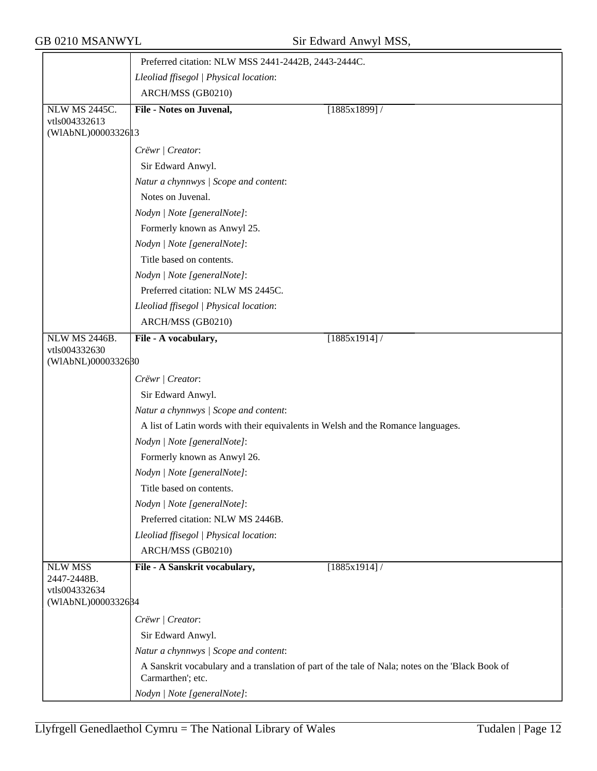|                                     | Preferred citation: NLW MSS 2441-2442B, 2443-2444C.                                                                   |                 |  |  |
|-------------------------------------|-----------------------------------------------------------------------------------------------------------------------|-----------------|--|--|
|                                     | Lleoliad ffisegol   Physical location:                                                                                |                 |  |  |
|                                     | ARCH/MSS (GB0210)                                                                                                     |                 |  |  |
| NLW MS 2445C.                       | <b>File - Notes on Juvenal,</b>                                                                                       | $[1885x1899]$ / |  |  |
| vtls004332613                       |                                                                                                                       |                 |  |  |
| (WIAbNL)00003326 13                 |                                                                                                                       |                 |  |  |
|                                     | Crëwr   Creator:                                                                                                      |                 |  |  |
|                                     | Sir Edward Anwyl.                                                                                                     |                 |  |  |
|                                     | Natur a chynnwys / Scope and content:                                                                                 |                 |  |  |
|                                     | Notes on Juvenal.                                                                                                     |                 |  |  |
|                                     | Nodyn   Note [generalNote]:                                                                                           |                 |  |  |
|                                     | Formerly known as Anwyl 25.                                                                                           |                 |  |  |
|                                     | Nodyn   Note [generalNote]:                                                                                           |                 |  |  |
|                                     | Title based on contents.                                                                                              |                 |  |  |
|                                     | Nodyn   Note [generalNote]:                                                                                           |                 |  |  |
|                                     | Preferred citation: NLW MS 2445C.                                                                                     |                 |  |  |
|                                     | Lleoliad ffisegol   Physical location:                                                                                |                 |  |  |
|                                     | ARCH/MSS (GB0210)                                                                                                     |                 |  |  |
| <b>NLW MS 2446B.</b>                | File - A vocabulary,                                                                                                  | [1885x1914]/    |  |  |
| vtls004332630<br>(WIAbNL)0000332680 |                                                                                                                       |                 |  |  |
|                                     |                                                                                                                       |                 |  |  |
|                                     | Crëwr   Creator:                                                                                                      |                 |  |  |
|                                     | Sir Edward Anwyl.                                                                                                     |                 |  |  |
|                                     | Natur a chynnwys / Scope and content:                                                                                 |                 |  |  |
|                                     | A list of Latin words with their equivalents in Welsh and the Romance languages.                                      |                 |  |  |
|                                     | Nodyn   Note [generalNote]:                                                                                           |                 |  |  |
|                                     | Formerly known as Anwyl 26.                                                                                           |                 |  |  |
|                                     | Nodyn   Note [generalNote]:                                                                                           |                 |  |  |
|                                     | Title based on contents.                                                                                              |                 |  |  |
|                                     | Nodyn   Note [generalNote]:                                                                                           |                 |  |  |
|                                     | Preferred citation: NLW MS 2446B.                                                                                     |                 |  |  |
|                                     | Lleoliad ffisegol   Physical location:                                                                                |                 |  |  |
|                                     | ARCH/MSS (GB0210)                                                                                                     |                 |  |  |
| <b>NLW MSS</b><br>2447-2448B.       | File - A Sanskrit vocabulary,                                                                                         | [1885x1914]/    |  |  |
| vtls004332634                       |                                                                                                                       |                 |  |  |
| (WIAbNL)0000332684                  |                                                                                                                       |                 |  |  |
|                                     | Crëwr   Creator:                                                                                                      |                 |  |  |
|                                     | Sir Edward Anwyl.                                                                                                     |                 |  |  |
|                                     | Natur a chynnwys / Scope and content:                                                                                 |                 |  |  |
|                                     | A Sanskrit vocabulary and a translation of part of the tale of Nala; notes on the 'Black Book of<br>Carmarthen'; etc. |                 |  |  |
|                                     | Nodyn   Note [generalNote]:                                                                                           |                 |  |  |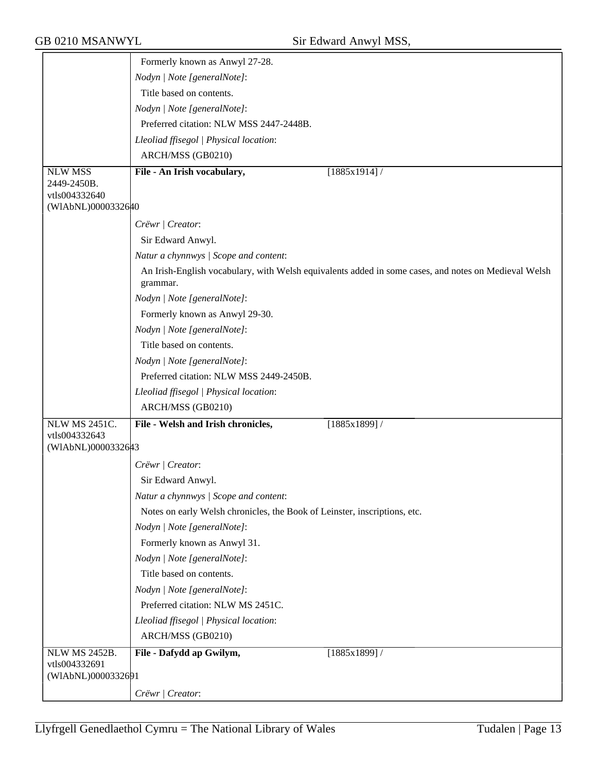|                                     | Formerly known as Anwyl 27-28.                                                                                   |  |
|-------------------------------------|------------------------------------------------------------------------------------------------------------------|--|
|                                     | Nodyn   Note [generalNote]:                                                                                      |  |
|                                     | Title based on contents.                                                                                         |  |
|                                     | Nodyn   Note [generalNote]:                                                                                      |  |
|                                     | Preferred citation: NLW MSS 2447-2448B.                                                                          |  |
|                                     | Lleoliad ffisegol   Physical location:                                                                           |  |
|                                     | ARCH/MSS (GB0210)                                                                                                |  |
| <b>NLW MSS</b>                      | File - An Irish vocabulary,<br>[1885x1914]/                                                                      |  |
| 2449-2450B.                         |                                                                                                                  |  |
| vtls004332640<br>(WIAbNL)0000332640 |                                                                                                                  |  |
|                                     |                                                                                                                  |  |
|                                     | Crëwr   Creator:                                                                                                 |  |
|                                     | Sir Edward Anwyl.                                                                                                |  |
|                                     | Natur a chynnwys / Scope and content:                                                                            |  |
|                                     | An Irish-English vocabulary, with Welsh equivalents added in some cases, and notes on Medieval Welsh<br>grammar. |  |
|                                     | Nodyn   Note [generalNote]:                                                                                      |  |
|                                     | Formerly known as Anwyl 29-30.                                                                                   |  |
|                                     | Nodyn   Note [generalNote]:                                                                                      |  |
|                                     | Title based on contents.                                                                                         |  |
|                                     | Nodyn   Note [generalNote]:                                                                                      |  |
|                                     | Preferred citation: NLW MSS 2449-2450B.                                                                          |  |
|                                     | Lleoliad ffisegol   Physical location:                                                                           |  |
|                                     | ARCH/MSS (GB0210)                                                                                                |  |
| <b>NLW MS 2451C.</b>                | File - Welsh and Irish chronicles,<br>$\sqrt{1885x1899}$ /                                                       |  |
| vtls004332643<br>(WIAbNL)0000332643 |                                                                                                                  |  |
|                                     |                                                                                                                  |  |
|                                     | Crëwr   Creator:                                                                                                 |  |
|                                     | Sir Edward Anwyl.                                                                                                |  |
|                                     | Natur a chynnwys / Scope and content:                                                                            |  |
|                                     | Notes on early Welsh chronicles, the Book of Leinster, inscriptions, etc.                                        |  |
|                                     | Nodyn   Note [generalNote]:                                                                                      |  |
|                                     | Formerly known as Anwyl 31.                                                                                      |  |
|                                     | Nodyn   Note [generalNote]:                                                                                      |  |
|                                     | Title based on contents.                                                                                         |  |
|                                     | Nodyn   Note [generalNote]:                                                                                      |  |
|                                     | Preferred citation: NLW MS 2451C.                                                                                |  |
|                                     | Lleoliad ffisegol   Physical location:                                                                           |  |
|                                     | ARCH/MSS (GB0210)                                                                                                |  |
| <b>NLW MS 2452B.</b>                | File - Dafydd ap Gwilym,<br>$[1885x1899]$ /                                                                      |  |
| vtls004332691<br>(WIAbNL)0000332691 |                                                                                                                  |  |
|                                     |                                                                                                                  |  |
|                                     | Crëwr   Creator:                                                                                                 |  |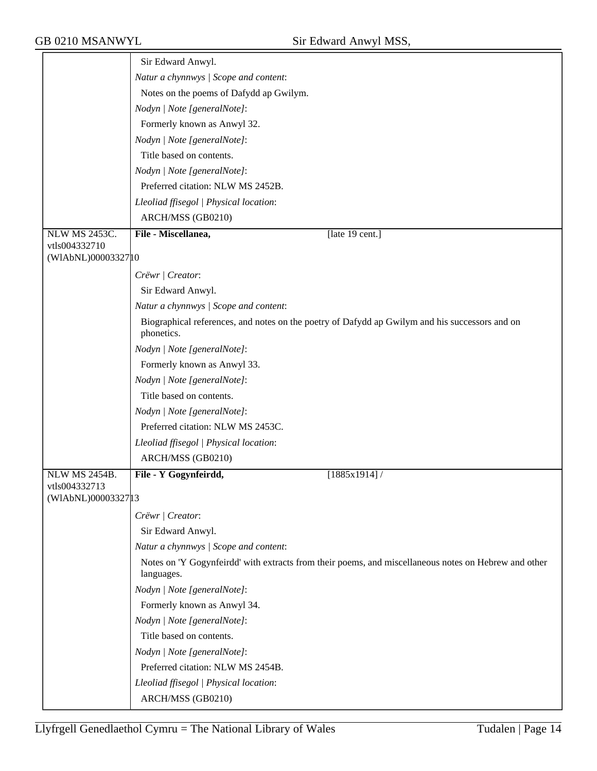|                      | Sir Edward Anwyl.                                                                                                  |
|----------------------|--------------------------------------------------------------------------------------------------------------------|
|                      | Natur a chynnwys / Scope and content:                                                                              |
|                      | Notes on the poems of Dafydd ap Gwilym.                                                                            |
|                      | Nodyn   Note [generalNote]:                                                                                        |
|                      | Formerly known as Anwyl 32.                                                                                        |
|                      | Nodyn   Note [generalNote]:                                                                                        |
|                      | Title based on contents.                                                                                           |
|                      | Nodyn   Note [generalNote]:                                                                                        |
|                      | Preferred citation: NLW MS 2452B.                                                                                  |
|                      | Lleoliad ffisegol   Physical location:                                                                             |
|                      | ARCH/MSS (GB0210)                                                                                                  |
| <b>NLW MS 2453C.</b> | File - Miscellanea,<br>[late 19 cent.]                                                                             |
| vtls004332710        |                                                                                                                    |
| (WIAbNL)00003327 10  |                                                                                                                    |
|                      | Crëwr   Creator:                                                                                                   |
|                      | Sir Edward Anwyl.                                                                                                  |
|                      | Natur a chynnwys / Scope and content:                                                                              |
|                      | Biographical references, and notes on the poetry of Dafydd ap Gwilym and his successors and on<br>phonetics.       |
|                      | Nodyn   Note [generalNote]:                                                                                        |
|                      | Formerly known as Anwyl 33.                                                                                        |
|                      | Nodyn   Note [generalNote]:                                                                                        |
|                      | Title based on contents.                                                                                           |
|                      | Nodyn   Note [generalNote]:                                                                                        |
|                      | Preferred citation: NLW MS 2453C.                                                                                  |
|                      | Lleoliad ffisegol   Physical location:                                                                             |
|                      | ARCH/MSS (GB0210)                                                                                                  |
| <b>NLW MS 2454B.</b> | File - Y Gogynfeirdd,<br>[1885x1914]/                                                                              |
| vtls004332713        |                                                                                                                    |
| (WIAbNL)00003327 13  |                                                                                                                    |
|                      | Crëwr   Creator:                                                                                                   |
|                      | Sir Edward Anwyl.                                                                                                  |
|                      | Natur a chynnwys / Scope and content:                                                                              |
|                      | Notes on 'Y Gogynfeirdd' with extracts from their poems, and miscellaneous notes on Hebrew and other<br>languages. |
|                      | Nodyn   Note [generalNote]:                                                                                        |
|                      | Formerly known as Anwyl 34.                                                                                        |
|                      | Nodyn   Note [generalNote]:                                                                                        |
|                      | Title based on contents.                                                                                           |
|                      | Nodyn   Note [generalNote]:                                                                                        |
|                      | Preferred citation: NLW MS 2454B.                                                                                  |
|                      | Lleoliad ffisegol   Physical location:                                                                             |
|                      | ARCH/MSS (GB0210)                                                                                                  |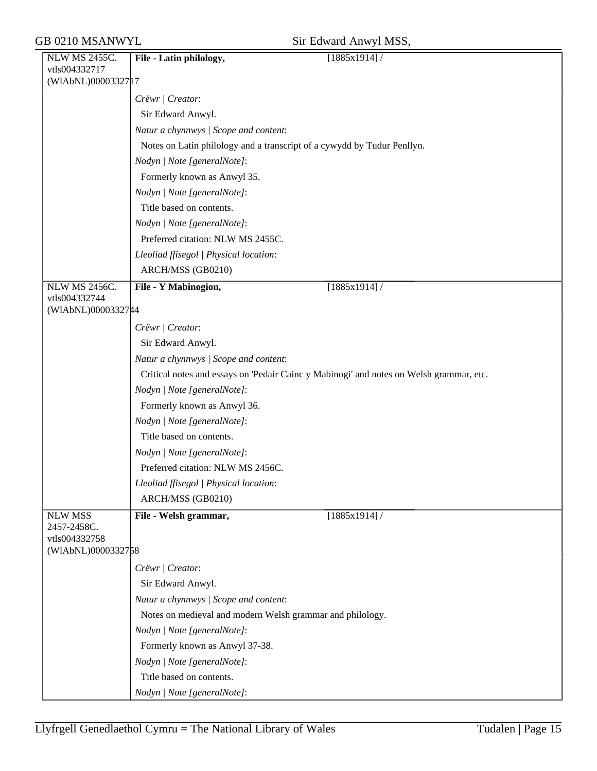|  | Sir Edward Anwyl MSS, |  |  |
|--|-----------------------|--|--|
|--|-----------------------|--|--|

| <b>NLW MS 2455C.</b>          | File - Latin philology,<br>[1885x1914]/                                                 |
|-------------------------------|-----------------------------------------------------------------------------------------|
| vtls004332717                 |                                                                                         |
| (WIAbNL)0000332717            |                                                                                         |
|                               | Crëwr   Creator:                                                                        |
|                               | Sir Edward Anwyl.                                                                       |
|                               | Natur a chynnwys / Scope and content:                                                   |
|                               | Notes on Latin philology and a transcript of a cywydd by Tudur Penllyn.                 |
|                               | Nodyn   Note [generalNote]:                                                             |
|                               | Formerly known as Anwyl 35.                                                             |
|                               | Nodyn   Note [generalNote]:                                                             |
|                               | Title based on contents.                                                                |
|                               | Nodyn   Note [generalNote]:                                                             |
|                               | Preferred citation: NLW MS 2455C.                                                       |
|                               | Lleoliad ffisegol   Physical location:                                                  |
|                               | ARCH/MSS (GB0210)                                                                       |
| <b>NLW MS 2456C.</b>          | File - Y Mabinogion,<br>[1885x1914]/                                                    |
| vtls004332744                 |                                                                                         |
| (WIAbNL)0000332744            |                                                                                         |
|                               | Crëwr   Creator:                                                                        |
|                               | Sir Edward Anwyl.                                                                       |
|                               | Natur a chynnwys / Scope and content:                                                   |
|                               | Critical notes and essays on 'Pedair Cainc y Mabinogi' and notes on Welsh grammar, etc. |
|                               | Nodyn   Note [generalNote]:                                                             |
|                               | Formerly known as Anwyl 36.                                                             |
|                               | Nodyn   Note [generalNote]:                                                             |
|                               | Title based on contents.                                                                |
|                               | Nodyn   Note [generalNote]:                                                             |
|                               | Preferred citation: NLW MS 2456C.                                                       |
|                               | Lleoliad ffisegol   Physical location:                                                  |
|                               | ARCH/MSS (GB0210)                                                                       |
| <b>NLW MSS</b><br>2457-2458C. | File - Welsh grammar,<br>[1885x1914]/                                                   |
| vtls004332758                 |                                                                                         |
| (WIAbNL)0000332758            |                                                                                         |
|                               | Crëwr   Creator:                                                                        |
|                               | Sir Edward Anwyl.                                                                       |
|                               | Natur a chynnwys / Scope and content:                                                   |
|                               | Notes on medieval and modern Welsh grammar and philology.                               |
|                               | Nodyn   Note [generalNote]:                                                             |
|                               | Formerly known as Anwyl 37-38.                                                          |
|                               | Nodyn   Note [generalNote]:                                                             |
|                               | Title based on contents.                                                                |
|                               | Nodyn   Note [generalNote]:                                                             |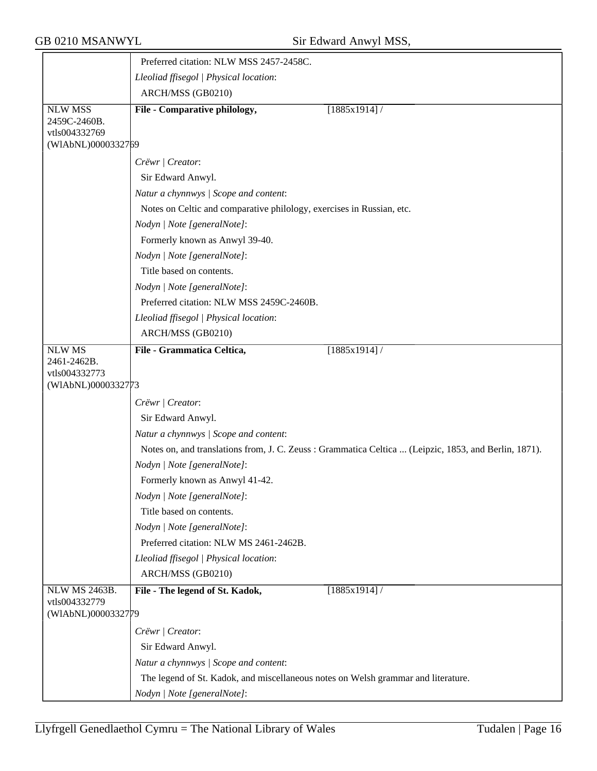|                                                 | Preferred citation: NLW MSS 2457-2458C.                                           |                                                                                                      |
|-------------------------------------------------|-----------------------------------------------------------------------------------|------------------------------------------------------------------------------------------------------|
|                                                 | Lleoliad ffisegol   Physical location:                                            |                                                                                                      |
|                                                 | ARCH/MSS (GB0210)                                                                 |                                                                                                      |
| <b>NLW MSS</b><br>2459C-2460B.<br>vtls004332769 | File - Comparative philology,                                                     | $[1885x1914]$ /                                                                                      |
| (WIAbNL)0000332769                              |                                                                                   |                                                                                                      |
|                                                 | Crëwr   Creator:                                                                  |                                                                                                      |
|                                                 | Sir Edward Anwyl.                                                                 |                                                                                                      |
|                                                 | Natur a chynnwys / Scope and content:                                             |                                                                                                      |
|                                                 | Notes on Celtic and comparative philology, exercises in Russian, etc.             |                                                                                                      |
|                                                 | Nodyn   Note [generalNote]:                                                       |                                                                                                      |
|                                                 | Formerly known as Anwyl 39-40.                                                    |                                                                                                      |
|                                                 | Nodyn   Note [generalNote]:                                                       |                                                                                                      |
|                                                 | Title based on contents.                                                          |                                                                                                      |
|                                                 | Nodyn   Note [generalNote]:                                                       |                                                                                                      |
|                                                 | Preferred citation: NLW MSS 2459C-2460B.                                          |                                                                                                      |
|                                                 | Lleoliad ffisegol   Physical location:                                            |                                                                                                      |
|                                                 | ARCH/MSS (GB0210)                                                                 |                                                                                                      |
| <b>NLW MS</b>                                   | File - Grammatica Celtica,                                                        | $[1885x1914]$ /                                                                                      |
| 2461-2462B.<br>vtls004332773                    |                                                                                   |                                                                                                      |
| (WIAbNL)0000332773                              |                                                                                   |                                                                                                      |
|                                                 | Crëwr   Creator:                                                                  |                                                                                                      |
|                                                 | Sir Edward Anwyl.                                                                 |                                                                                                      |
|                                                 | Natur a chynnwys / Scope and content:                                             |                                                                                                      |
|                                                 |                                                                                   | Notes on, and translations from, J. C. Zeuss: Grammatica Celtica  (Leipzic, 1853, and Berlin, 1871). |
|                                                 | Nodyn   Note [generalNote]:                                                       |                                                                                                      |
|                                                 | Formerly known as Anwyl 41-42.                                                    |                                                                                                      |
|                                                 | Nodyn   Note [generalNote]:                                                       |                                                                                                      |
|                                                 | Title based on contents.                                                          |                                                                                                      |
|                                                 | Nodyn   Note [generalNote]:                                                       |                                                                                                      |
|                                                 | Preferred citation: NLW MS 2461-2462B.                                            |                                                                                                      |
|                                                 | Lleoliad ffisegol   Physical location:                                            |                                                                                                      |
|                                                 | ARCH/MSS (GB0210)                                                                 |                                                                                                      |
| NLW MS 2463B.                                   | File - The legend of St. Kadok,                                                   | [1885x1914]/                                                                                         |
| vtls004332779<br>(WIAbNL)0000332779             |                                                                                   |                                                                                                      |
|                                                 | Crëwr   Creator:                                                                  |                                                                                                      |
|                                                 | Sir Edward Anwyl.                                                                 |                                                                                                      |
|                                                 | Natur a chynnwys / Scope and content:                                             |                                                                                                      |
|                                                 | The legend of St. Kadok, and miscellaneous notes on Welsh grammar and literature. |                                                                                                      |
|                                                 | Nodyn   Note [generalNote]:                                                       |                                                                                                      |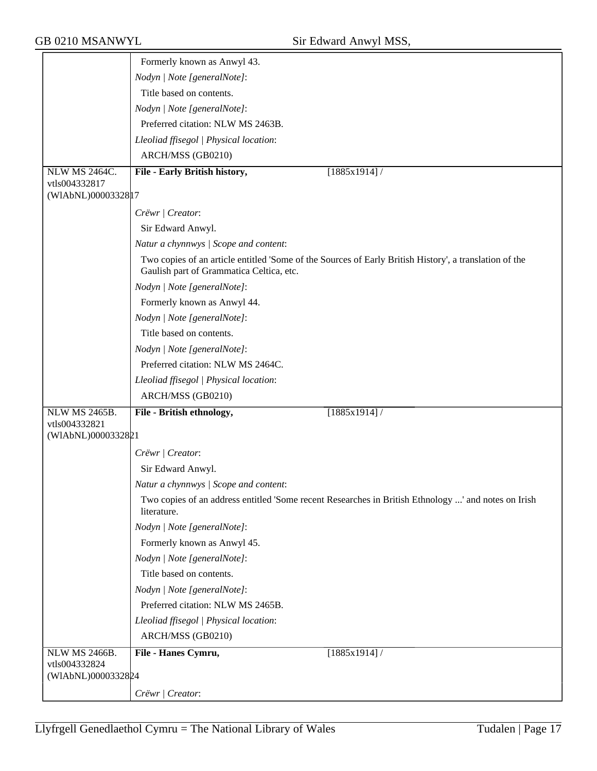|                                     | Formerly known as Anwyl 43.                                                                                                                        |
|-------------------------------------|----------------------------------------------------------------------------------------------------------------------------------------------------|
|                                     | Nodyn   Note [generalNote]:                                                                                                                        |
|                                     | Title based on contents.                                                                                                                           |
|                                     | Nodyn   Note [generalNote]:                                                                                                                        |
|                                     | Preferred citation: NLW MS 2463B.                                                                                                                  |
|                                     | Lleoliad ffisegol   Physical location:                                                                                                             |
|                                     | ARCH/MSS (GB0210)                                                                                                                                  |
| <b>NLW MS 2464C.</b>                | File - Early British history,<br>[1885x1914]/                                                                                                      |
| vtls004332817                       |                                                                                                                                                    |
| (WIAbNL)00003328 17                 |                                                                                                                                                    |
|                                     | Crëwr   Creator:                                                                                                                                   |
|                                     | Sir Edward Anwyl.                                                                                                                                  |
|                                     | Natur a chynnwys / Scope and content:                                                                                                              |
|                                     | Two copies of an article entitled 'Some of the Sources of Early British History', a translation of the<br>Gaulish part of Grammatica Celtica, etc. |
|                                     | Nodyn   Note [generalNote]:                                                                                                                        |
|                                     | Formerly known as Anwyl 44.                                                                                                                        |
|                                     | Nodyn   Note [generalNote]:                                                                                                                        |
|                                     | Title based on contents.                                                                                                                           |
|                                     | Nodyn   Note [generalNote]:                                                                                                                        |
|                                     | Preferred citation: NLW MS 2464C.                                                                                                                  |
|                                     | Lleoliad ffisegol   Physical location:                                                                                                             |
|                                     | ARCH/MSS (GB0210)                                                                                                                                  |
| <b>NLW MS 2465B.</b>                | File - British ethnology,<br>$[1885x1914]$ /                                                                                                       |
| vtls004332821                       |                                                                                                                                                    |
| (WIAbNL)0000332821                  |                                                                                                                                                    |
|                                     | Crëwr   Creator:                                                                                                                                   |
|                                     | Sir Edward Anwyl.                                                                                                                                  |
|                                     | Natur a chynnwys / Scope and content:                                                                                                              |
|                                     | Two copies of an address entitled 'Some recent Researches in British Ethnology ' and notes on Irish<br>literature.                                 |
|                                     | Nodyn   Note [generalNote]:                                                                                                                        |
|                                     | Formerly known as Anwyl 45.                                                                                                                        |
|                                     | Nodyn   Note [generalNote]:                                                                                                                        |
|                                     | Title based on contents.                                                                                                                           |
|                                     | Nodyn   Note [generalNote]:                                                                                                                        |
|                                     | Preferred citation: NLW MS 2465B.                                                                                                                  |
|                                     | Lleoliad ffisegol   Physical location:                                                                                                             |
|                                     | ARCH/MSS (GB0210)                                                                                                                                  |
| NLW MS 2466B.                       | File - Hanes Cymru,<br>$[1885x1914]$ /                                                                                                             |
| vtls004332824<br>(WIAbNL)0000332824 |                                                                                                                                                    |
|                                     | Crëwr   Creator:                                                                                                                                   |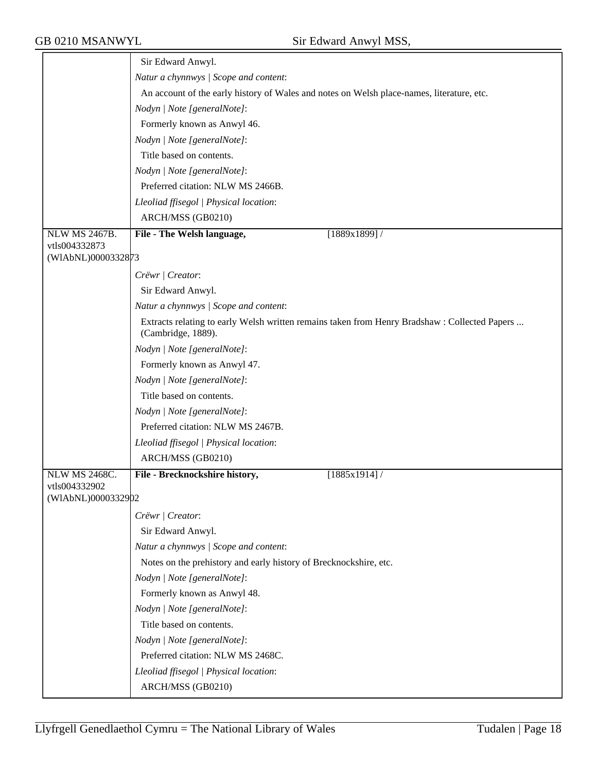|                                     | Sir Edward Anwyl.                                                                                                   |
|-------------------------------------|---------------------------------------------------------------------------------------------------------------------|
|                                     | Natur a chynnwys / Scope and content:                                                                               |
|                                     | An account of the early history of Wales and notes on Welsh place-names, literature, etc.                           |
|                                     | Nodyn   Note [generalNote]:                                                                                         |
|                                     | Formerly known as Anwyl 46.                                                                                         |
|                                     | Nodyn   Note [generalNote]:                                                                                         |
|                                     | Title based on contents.                                                                                            |
|                                     | Nodyn   Note [generalNote]:                                                                                         |
|                                     | Preferred citation: NLW MS 2466B.                                                                                   |
|                                     | Lleoliad ffisegol   Physical location:                                                                              |
|                                     | ARCH/MSS (GB0210)                                                                                                   |
| <b>NLW MS 2467B.</b>                | [1889x1899]/<br>File - The Welsh language,                                                                          |
| vtls004332873                       |                                                                                                                     |
| (WIAbNL)0000332873                  |                                                                                                                     |
|                                     | Crëwr   Creator:                                                                                                    |
|                                     | Sir Edward Anwyl.                                                                                                   |
|                                     | Natur a chynnwys / Scope and content:                                                                               |
|                                     | Extracts relating to early Welsh written remains taken from Henry Bradshaw : Collected Papers<br>(Cambridge, 1889). |
|                                     | Nodyn   Note [generalNote]:                                                                                         |
|                                     | Formerly known as Anwyl 47.                                                                                         |
|                                     | Nodyn   Note [generalNote]:                                                                                         |
|                                     | Title based on contents.                                                                                            |
|                                     | Nodyn   Note [generalNote]:                                                                                         |
|                                     | Preferred citation: NLW MS 2467B.                                                                                   |
|                                     | Lleoliad ffisegol   Physical location:                                                                              |
|                                     | ARCH/MSS (GB0210)                                                                                                   |
| <b>NLW MS 2468C.</b>                | File - Brecknockshire history,<br>[1885x1914]/                                                                      |
| vtls004332902<br>(WIAbNL)0000332902 |                                                                                                                     |
|                                     |                                                                                                                     |
|                                     | Crëwr   Creator:                                                                                                    |
|                                     | Sir Edward Anwyl.                                                                                                   |
|                                     | Natur a chynnwys / Scope and content:                                                                               |
|                                     | Notes on the prehistory and early history of Brecknockshire, etc.                                                   |
|                                     | Nodyn   Note [generalNote]:<br>Formerly known as Anwyl 48.                                                          |
|                                     | Nodyn   Note [generalNote]:                                                                                         |
|                                     | Title based on contents.                                                                                            |
|                                     | Nodyn   Note [generalNote]:                                                                                         |
|                                     | Preferred citation: NLW MS 2468C.                                                                                   |
|                                     | Lleoliad ffisegol   Physical location:                                                                              |
|                                     | ARCH/MSS (GB0210)                                                                                                   |
|                                     |                                                                                                                     |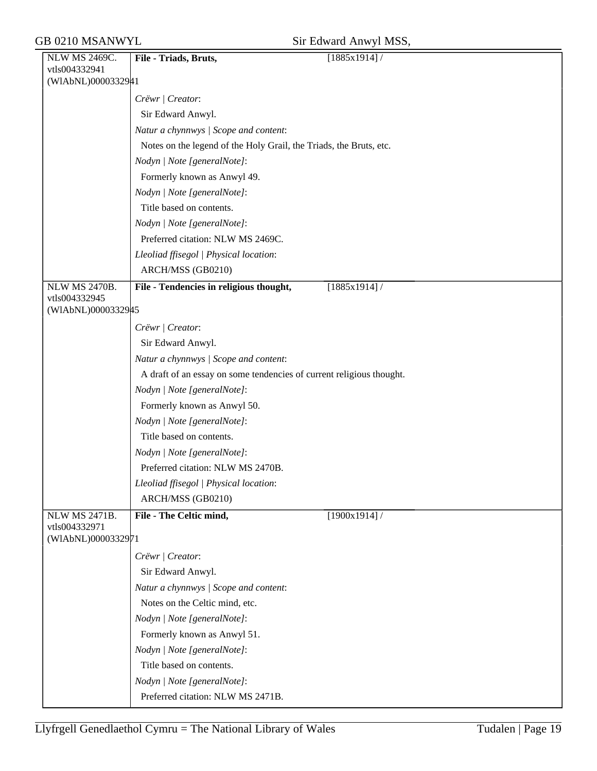| NLW MS 2469C.                       | File - Triads, Bruts,                                                | $\sqrt{1885x1914}$ |
|-------------------------------------|----------------------------------------------------------------------|--------------------|
| vtls004332941                       |                                                                      |                    |
| (WIAbNL)0000332941                  |                                                                      |                    |
|                                     | Crëwr   Creator:                                                     |                    |
|                                     | Sir Edward Anwyl.                                                    |                    |
|                                     | Natur a chynnwys / Scope and content:                                |                    |
|                                     | Notes on the legend of the Holy Grail, the Triads, the Bruts, etc.   |                    |
|                                     | Nodyn   Note [generalNote]:                                          |                    |
|                                     | Formerly known as Anwyl 49.                                          |                    |
|                                     | Nodyn   Note [generalNote]:                                          |                    |
|                                     | Title based on contents.                                             |                    |
|                                     | Nodyn   Note [generalNote]:                                          |                    |
|                                     | Preferred citation: NLW MS 2469C.                                    |                    |
|                                     | Lleoliad ffisegol   Physical location:                               |                    |
|                                     | ARCH/MSS (GB0210)                                                    |                    |
| <b>NLW MS 2470B.</b>                | File - Tendencies in religious thought,                              | $[1885x1914]$ /    |
| vtls004332945<br>(WIAbNL)0000332945 |                                                                      |                    |
|                                     |                                                                      |                    |
|                                     | Crëwr / Creator:                                                     |                    |
|                                     | Sir Edward Anwyl.                                                    |                    |
|                                     | Natur a chynnwys / Scope and content:                                |                    |
|                                     | A draft of an essay on some tendencies of current religious thought. |                    |
|                                     | Nodyn   Note [generalNote]:                                          |                    |
|                                     | Formerly known as Anwyl 50.                                          |                    |
|                                     | Nodyn   Note [generalNote]:                                          |                    |
|                                     | Title based on contents.                                             |                    |
|                                     | Nodyn   Note [generalNote]:                                          |                    |
|                                     | Preferred citation: NLW MS 2470B.                                    |                    |
|                                     | Lleoliad ffisegol   Physical location:                               |                    |
|                                     | ARCH/MSS (GB0210)                                                    |                    |
| NLW MS 2471B.<br>vtls004332971      | File - The Celtic mind,                                              | $[1900x1914]$ /    |
| (WIAbNL)0000332971                  |                                                                      |                    |
|                                     | Crëwr   Creator:                                                     |                    |
|                                     | Sir Edward Anwyl.                                                    |                    |
|                                     | Natur a chynnwys / Scope and content:                                |                    |
|                                     | Notes on the Celtic mind, etc.                                       |                    |
|                                     | Nodyn   Note [generalNote]:                                          |                    |
|                                     | Formerly known as Anwyl 51.                                          |                    |
|                                     | Nodyn   Note [generalNote]:                                          |                    |
|                                     | Title based on contents.                                             |                    |
|                                     | Nodyn   Note [generalNote]:                                          |                    |
|                                     | Preferred citation: NLW MS 2471B.                                    |                    |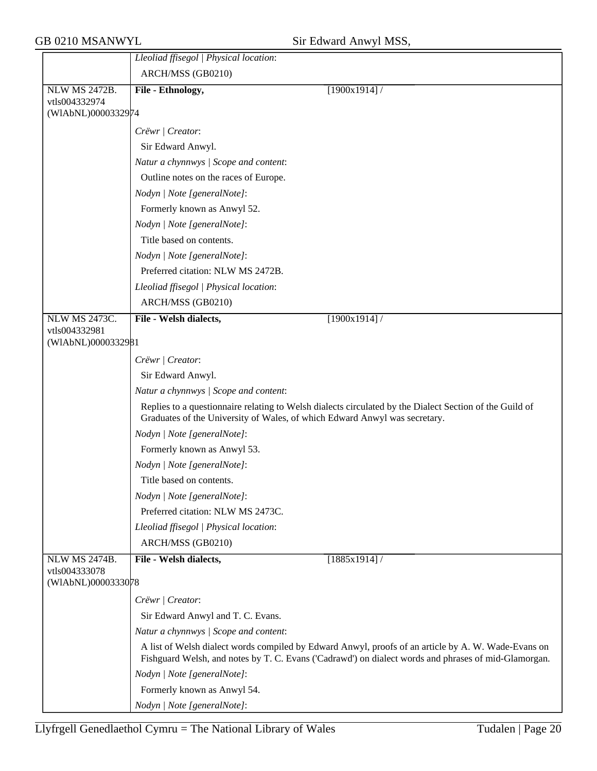|                      | Lleoliad ffisegol   Physical location:                                     |                                                                                                                                                                                                             |
|----------------------|----------------------------------------------------------------------------|-------------------------------------------------------------------------------------------------------------------------------------------------------------------------------------------------------------|
|                      | ARCH/MSS (GB0210)                                                          |                                                                                                                                                                                                             |
| <b>NLW MS 2472B.</b> | File - Ethnology,                                                          | [1900x1914]                                                                                                                                                                                                 |
| vtls004332974        |                                                                            |                                                                                                                                                                                                             |
| (WIAbNL)0000332974   |                                                                            |                                                                                                                                                                                                             |
|                      | Crëwr   Creator:                                                           |                                                                                                                                                                                                             |
|                      | Sir Edward Anwyl.                                                          |                                                                                                                                                                                                             |
|                      | Natur a chynnwys / Scope and content:                                      |                                                                                                                                                                                                             |
|                      | Outline notes on the races of Europe.                                      |                                                                                                                                                                                                             |
|                      | Nodyn   Note [generalNote]:                                                |                                                                                                                                                                                                             |
|                      | Formerly known as Anwyl 52.                                                |                                                                                                                                                                                                             |
|                      | Nodyn   Note [generalNote]:                                                |                                                                                                                                                                                                             |
|                      | Title based on contents.                                                   |                                                                                                                                                                                                             |
|                      | Nodyn   Note [generalNote]:                                                |                                                                                                                                                                                                             |
|                      | Preferred citation: NLW MS 2472B.                                          |                                                                                                                                                                                                             |
|                      | Lleoliad ffisegol   Physical location:                                     |                                                                                                                                                                                                             |
|                      | ARCH/MSS (GB0210)                                                          |                                                                                                                                                                                                             |
| <b>NLW MS 2473C.</b> | File - Welsh dialects,                                                     | $[1900x1914]$ /                                                                                                                                                                                             |
| vtls004332981        |                                                                            |                                                                                                                                                                                                             |
| (WIAbNL)0000332981   |                                                                            |                                                                                                                                                                                                             |
|                      | Crëwr / Creator:                                                           |                                                                                                                                                                                                             |
|                      | Sir Edward Anwyl.                                                          |                                                                                                                                                                                                             |
|                      | Natur a chynnwys / Scope and content:                                      |                                                                                                                                                                                                             |
|                      | Graduates of the University of Wales, of which Edward Anwyl was secretary. | Replies to a questionnaire relating to Welsh dialects circulated by the Dialect Section of the Guild of                                                                                                     |
|                      | Nodyn   Note [generalNote]:                                                |                                                                                                                                                                                                             |
|                      | Formerly known as Anwyl 53.                                                |                                                                                                                                                                                                             |
|                      | Nodyn   Note [generalNote]:                                                |                                                                                                                                                                                                             |
|                      | Title based on contents.                                                   |                                                                                                                                                                                                             |
|                      | Nodyn   Note [generalNote]:                                                |                                                                                                                                                                                                             |
|                      | Preferred citation: NLW MS 2473C.                                          |                                                                                                                                                                                                             |
|                      | Lleoliad ffisegol   Physical location:                                     |                                                                                                                                                                                                             |
|                      | ARCH/MSS (GB0210)                                                          |                                                                                                                                                                                                             |
| <b>NLW MS 2474B.</b> | File - Welsh dialects,                                                     | [1885x1914]/                                                                                                                                                                                                |
| vtls004333078        |                                                                            |                                                                                                                                                                                                             |
| (WIAbNL)0000333078   |                                                                            |                                                                                                                                                                                                             |
|                      | Crëwr   Creator:                                                           |                                                                                                                                                                                                             |
|                      | Sir Edward Anwyl and T. C. Evans.                                          |                                                                                                                                                                                                             |
|                      | Natur a chynnwys / Scope and content:                                      |                                                                                                                                                                                                             |
|                      |                                                                            | A list of Welsh dialect words compiled by Edward Anwyl, proofs of an article by A. W. Wade-Evans on<br>Fishguard Welsh, and notes by T. C. Evans ('Cadrawd') on dialect words and phrases of mid-Glamorgan. |
|                      | Nodyn   Note [generalNote]:                                                |                                                                                                                                                                                                             |
|                      | Formerly known as Anwyl 54.                                                |                                                                                                                                                                                                             |
|                      | Nodyn   Note [generalNote]:                                                |                                                                                                                                                                                                             |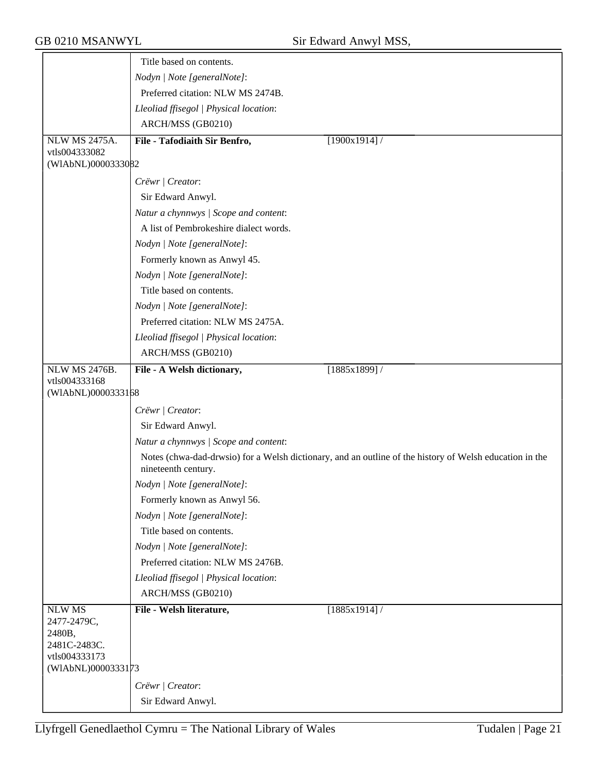|                                                                                               | Title based on contents.               |                                                                                                         |
|-----------------------------------------------------------------------------------------------|----------------------------------------|---------------------------------------------------------------------------------------------------------|
|                                                                                               | Nodyn   Note [generalNote]:            |                                                                                                         |
|                                                                                               | Preferred citation: NLW MS 2474B.      |                                                                                                         |
|                                                                                               | Lleoliad ffisegol   Physical location: |                                                                                                         |
|                                                                                               | ARCH/MSS (GB0210)                      |                                                                                                         |
| <b>NLW MS 2475A.</b>                                                                          | File - Tafodiaith Sir Benfro,          | [1900x1914]/                                                                                            |
| vtls004333082                                                                                 |                                        |                                                                                                         |
| (WIAbNL)0000333082                                                                            |                                        |                                                                                                         |
|                                                                                               | Crëwr   Creator:                       |                                                                                                         |
|                                                                                               | Sir Edward Anwyl.                      |                                                                                                         |
|                                                                                               | Natur a chynnwys / Scope and content:  |                                                                                                         |
|                                                                                               | A list of Pembrokeshire dialect words. |                                                                                                         |
|                                                                                               | Nodyn   Note [generalNote]:            |                                                                                                         |
|                                                                                               | Formerly known as Anwyl 45.            |                                                                                                         |
|                                                                                               | Nodyn   Note [generalNote]:            |                                                                                                         |
|                                                                                               | Title based on contents.               |                                                                                                         |
|                                                                                               | Nodyn   Note [generalNote]:            |                                                                                                         |
|                                                                                               | Preferred citation: NLW MS 2475A.      |                                                                                                         |
|                                                                                               | Lleoliad ffisegol   Physical location: |                                                                                                         |
|                                                                                               | ARCH/MSS (GB0210)                      |                                                                                                         |
| <b>NLW MS 2476B.</b>                                                                          | File - A Welsh dictionary,             | [1885x1899]/                                                                                            |
| vtls004333168                                                                                 |                                        |                                                                                                         |
| (WIAbNL)0000333168                                                                            |                                        |                                                                                                         |
|                                                                                               | Crëwr   Creator:                       |                                                                                                         |
|                                                                                               | Sir Edward Anwyl.                      |                                                                                                         |
|                                                                                               | Natur a chynnwys / Scope and content:  |                                                                                                         |
|                                                                                               | nineteenth century.                    | Notes (chwa-dad-drwsio) for a Welsh dictionary, and an outline of the history of Welsh education in the |
|                                                                                               | Nodyn   Note [generalNote]:            |                                                                                                         |
|                                                                                               | Formerly known as Anwyl 56.            |                                                                                                         |
|                                                                                               | Nodyn   Note [generalNote]:            |                                                                                                         |
|                                                                                               | Title based on contents.               |                                                                                                         |
|                                                                                               | Nodyn   Note [generalNote]:            |                                                                                                         |
|                                                                                               | Preferred citation: NLW MS 2476B.      |                                                                                                         |
|                                                                                               | Lleoliad ffisegol   Physical location: |                                                                                                         |
|                                                                                               |                                        |                                                                                                         |
|                                                                                               | ARCH/MSS (GB0210)                      |                                                                                                         |
| <b>NLW MS</b><br>2477-2479C,<br>2480B,<br>2481C-2483C.<br>vtls004333173<br>(WIAbNL)0000333173 | File - Welsh literature,               | [1885x1914]/                                                                                            |
|                                                                                               | Crëwr   Creator:                       |                                                                                                         |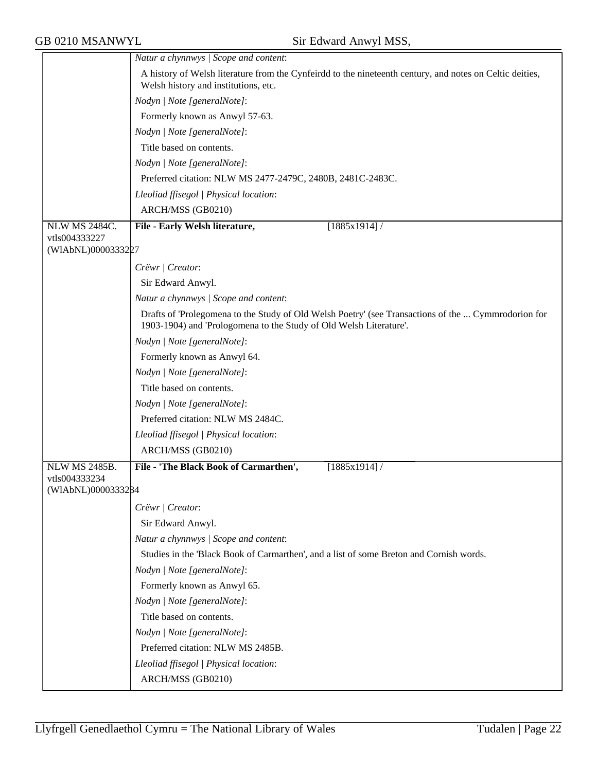GB 0210 MSANWYL Sir Edward Anwyl MSS,

|                                       | Natur a chynnwys / Scope and content:                                                                                                            |  |  |
|---------------------------------------|--------------------------------------------------------------------------------------------------------------------------------------------------|--|--|
|                                       | A history of Welsh literature from the Cynfeirdd to the nineteenth century, and notes on Celtic deities,<br>Welsh history and institutions, etc. |  |  |
|                                       | Nodyn   Note [generalNote]:                                                                                                                      |  |  |
|                                       | Formerly known as Anwyl 57-63.                                                                                                                   |  |  |
|                                       | Nodyn   Note [generalNote]:                                                                                                                      |  |  |
|                                       | Title based on contents.                                                                                                                         |  |  |
|                                       | Nodyn   Note [generalNote]:                                                                                                                      |  |  |
|                                       | Preferred citation: NLW MS 2477-2479C, 2480B, 2481C-2483C.                                                                                       |  |  |
|                                       | Lleoliad ffisegol   Physical location:                                                                                                           |  |  |
|                                       | ARCH/MSS (GB0210)                                                                                                                                |  |  |
| <b>NLW MS 2484C.</b><br>vtls004333227 | File - Early Welsh literature,<br>[1885x1914]/                                                                                                   |  |  |
| (WIAbNL)0000333227                    |                                                                                                                                                  |  |  |
|                                       | Crëwr   Creator:                                                                                                                                 |  |  |
|                                       | Sir Edward Anwyl.                                                                                                                                |  |  |
|                                       | Natur a chynnwys / Scope and content:                                                                                                            |  |  |
|                                       | Drafts of 'Prolegomena to the Study of Old Welsh Poetry' (see Transactions of the  Cymmrodorion for                                              |  |  |
|                                       | 1903-1904) and 'Prologomena to the Study of Old Welsh Literature'.                                                                               |  |  |
|                                       | Nodyn   Note [generalNote]:                                                                                                                      |  |  |
|                                       | Formerly known as Anwyl 64.                                                                                                                      |  |  |
|                                       | Nodyn   Note [generalNote]:                                                                                                                      |  |  |
|                                       | Title based on contents.                                                                                                                         |  |  |
|                                       | Nodyn   Note [generalNote]:                                                                                                                      |  |  |
|                                       | Preferred citation: NLW MS 2484C.                                                                                                                |  |  |
|                                       | Lleoliad ffisegol   Physical location:                                                                                                           |  |  |
|                                       | ARCH/MSS (GB0210)                                                                                                                                |  |  |
| <b>NLW MS 2485B.</b>                  | File - 'The Black Book of Carmarthen',<br>[1885x1914]/                                                                                           |  |  |
| vtls004333234<br>(WIAbNL)0000333284   |                                                                                                                                                  |  |  |
|                                       | Crëwr   Creator:                                                                                                                                 |  |  |
|                                       | Sir Edward Anwyl.                                                                                                                                |  |  |
|                                       | Natur a chynnwys / Scope and content:                                                                                                            |  |  |
|                                       | Studies in the 'Black Book of Carmarthen', and a list of some Breton and Cornish words.                                                          |  |  |
|                                       | Nodyn   Note [generalNote]:                                                                                                                      |  |  |
|                                       | Formerly known as Anwyl 65.                                                                                                                      |  |  |
|                                       | Nodyn   Note [generalNote]:                                                                                                                      |  |  |
|                                       | Title based on contents.                                                                                                                         |  |  |
|                                       | Nodyn   Note [generalNote]:                                                                                                                      |  |  |
|                                       | Preferred citation: NLW MS 2485B.                                                                                                                |  |  |
|                                       | Lleoliad ffisegol   Physical location:                                                                                                           |  |  |
|                                       | ARCH/MSS (GB0210)                                                                                                                                |  |  |
|                                       |                                                                                                                                                  |  |  |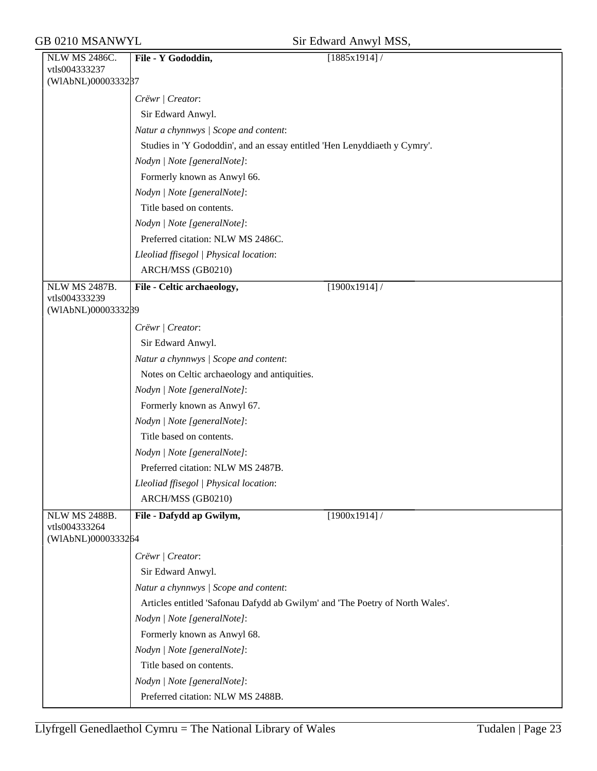| Sir Edward Anwyl MSS, |  |  |
|-----------------------|--|--|
|-----------------------|--|--|

| NLW MS 2486C.                         | File - Y Gododdin,<br>$\sqrt{1885x1914}$                                      |
|---------------------------------------|-------------------------------------------------------------------------------|
| vtls004333237                         |                                                                               |
| (WIAbNL)0000333287                    |                                                                               |
|                                       | Crëwr   Creator:                                                              |
|                                       | Sir Edward Anwyl.                                                             |
|                                       | Natur a chynnwys / Scope and content:                                         |
|                                       | Studies in 'Y Gododdin', and an essay entitled 'Hen Lenyddiaeth y Cymry'.     |
|                                       | Nodyn   Note [generalNote]:                                                   |
|                                       | Formerly known as Anwyl 66.                                                   |
|                                       | Nodyn   Note [generalNote]:                                                   |
|                                       | Title based on contents.                                                      |
|                                       | Nodyn   Note [generalNote]:                                                   |
|                                       | Preferred citation: NLW MS 2486C.                                             |
|                                       | Lleoliad ffisegol   Physical location:                                        |
|                                       | ARCH/MSS (GB0210)                                                             |
| <b>NLW MS 2487B.</b>                  | File - Celtic archaeology,<br>$[1900x1914]$ /                                 |
| vtls004333239<br>(WIAbNL)0000333289   |                                                                               |
|                                       |                                                                               |
|                                       | Crëwr   Creator:                                                              |
|                                       | Sir Edward Anwyl.                                                             |
|                                       | Natur a chynnwys / Scope and content:                                         |
|                                       | Notes on Celtic archaeology and antiquities.                                  |
|                                       | Nodyn   Note [generalNote]:                                                   |
|                                       | Formerly known as Anwyl 67.                                                   |
|                                       | Nodyn   Note [generalNote]:                                                   |
|                                       | Title based on contents.                                                      |
|                                       | Nodyn   Note [generalNote]:                                                   |
|                                       | Preferred citation: NLW MS 2487B.                                             |
|                                       | Lleoliad ffisegol   Physical location:                                        |
|                                       | ARCH/MSS (GB0210)                                                             |
| <b>NLW MS 2488B.</b><br>vtls004333264 | [1900x1914]/<br>File - Dafydd ap Gwilym,                                      |
| (WIAbNL)0000333264                    |                                                                               |
|                                       | Crëwr   Creator:                                                              |
|                                       | Sir Edward Anwyl.                                                             |
|                                       | Natur a chynnwys / Scope and content:                                         |
|                                       | Articles entitled 'Safonau Dafydd ab Gwilym' and 'The Poetry of North Wales'. |
|                                       | Nodyn   Note [generalNote]:                                                   |
|                                       | Formerly known as Anwyl 68.                                                   |
|                                       | Nodyn   Note [generalNote]:                                                   |
|                                       | Title based on contents.                                                      |
|                                       | Nodyn   Note [generalNote]:                                                   |
|                                       | Preferred citation: NLW MS 2488B.                                             |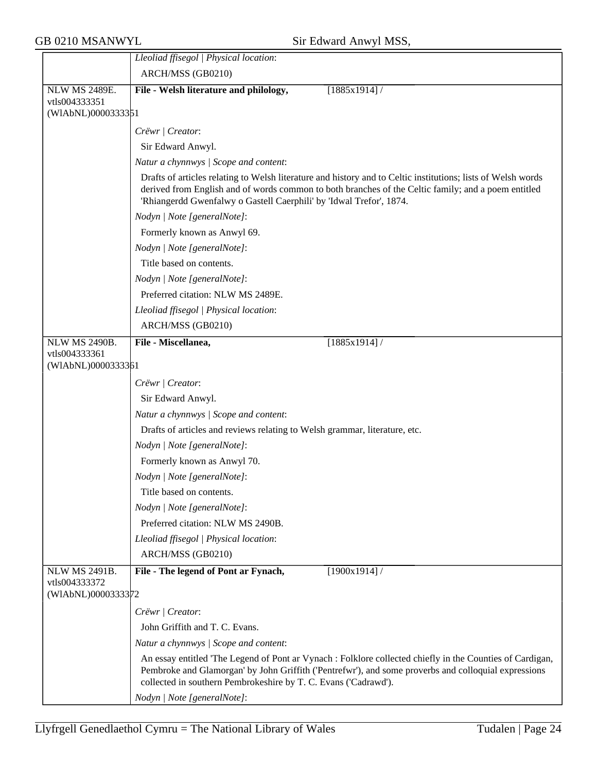GB 0210 MSANWYL Sir Edward Anwyl MSS,

|                                     | Lleoliad ffisegol   Physical location:                                                                                                                                                                                                                                                     |
|-------------------------------------|--------------------------------------------------------------------------------------------------------------------------------------------------------------------------------------------------------------------------------------------------------------------------------------------|
|                                     | ARCH/MSS (GB0210)                                                                                                                                                                                                                                                                          |
| <b>NLW MS 2489E.</b>                | File - Welsh literature and philology,<br>$[1885x1914]$ /                                                                                                                                                                                                                                  |
| vtls004333351                       |                                                                                                                                                                                                                                                                                            |
| (WIAbNL)0000333351                  |                                                                                                                                                                                                                                                                                            |
|                                     | Crëwr   Creator:                                                                                                                                                                                                                                                                           |
|                                     | Sir Edward Anwyl.                                                                                                                                                                                                                                                                          |
|                                     | Natur a chynnwys / Scope and content:                                                                                                                                                                                                                                                      |
|                                     | Drafts of articles relating to Welsh literature and history and to Celtic institutions; lists of Welsh words<br>derived from English and of words common to both branches of the Celtic family; and a poem entitled<br>'Rhiangerdd Gwenfalwy o Gastell Caerphili' by 'Idwal Trefor', 1874. |
|                                     | Nodyn   Note [generalNote]:                                                                                                                                                                                                                                                                |
|                                     | Formerly known as Anwyl 69.                                                                                                                                                                                                                                                                |
|                                     | Nodyn   Note [generalNote]:                                                                                                                                                                                                                                                                |
|                                     | Title based on contents.                                                                                                                                                                                                                                                                   |
|                                     | Nodyn   Note [generalNote]:                                                                                                                                                                                                                                                                |
|                                     | Preferred citation: NLW MS 2489E.                                                                                                                                                                                                                                                          |
|                                     | Lleoliad ffisegol   Physical location:                                                                                                                                                                                                                                                     |
|                                     | ARCH/MSS (GB0210)                                                                                                                                                                                                                                                                          |
| <b>NLW MS 2490B.</b>                | File - Miscellanea,<br>$[1885x1914]$ /                                                                                                                                                                                                                                                     |
| vtls004333361                       |                                                                                                                                                                                                                                                                                            |
| (WIAbNL)0000333361                  |                                                                                                                                                                                                                                                                                            |
|                                     | Crëwr   Creator:                                                                                                                                                                                                                                                                           |
|                                     | Sir Edward Anwyl.                                                                                                                                                                                                                                                                          |
|                                     | Natur a chynnwys / Scope and content:                                                                                                                                                                                                                                                      |
|                                     | Drafts of articles and reviews relating to Welsh grammar, literature, etc.                                                                                                                                                                                                                 |
|                                     | Nodyn   Note [generalNote]:                                                                                                                                                                                                                                                                |
|                                     | Formerly known as Anwyl 70.                                                                                                                                                                                                                                                                |
|                                     | Nodyn   Note [generalNote]:                                                                                                                                                                                                                                                                |
|                                     | Title based on contents.                                                                                                                                                                                                                                                                   |
|                                     | Nodyn   Note [generalNote]:                                                                                                                                                                                                                                                                |
|                                     | Preferred citation: NLW MS 2490B.                                                                                                                                                                                                                                                          |
|                                     | Lleoliad ffisegol   Physical location:                                                                                                                                                                                                                                                     |
|                                     | ARCH/MSS (GB0210)                                                                                                                                                                                                                                                                          |
| NLW MS 2491B.                       | File - The legend of Pont ar Fynach,<br>$[1900x1914]$ /                                                                                                                                                                                                                                    |
| vtls004333372<br>(WIAbNL)0000333372 |                                                                                                                                                                                                                                                                                            |
|                                     | Crëwr   Creator:                                                                                                                                                                                                                                                                           |
|                                     | John Griffith and T. C. Evans.                                                                                                                                                                                                                                                             |
|                                     | Natur a chynnwys / Scope and content:                                                                                                                                                                                                                                                      |
|                                     | An essay entitled 'The Legend of Pont ar Vynach : Folklore collected chiefly in the Counties of Cardigan,<br>Pembroke and Glamorgan' by John Griffith ('Pentrefwr'), and some proverbs and colloquial expressions<br>collected in southern Pembrokeshire by T. C. Evans ('Cadrawd').       |
|                                     | Nodyn   Note [generalNote]:                                                                                                                                                                                                                                                                |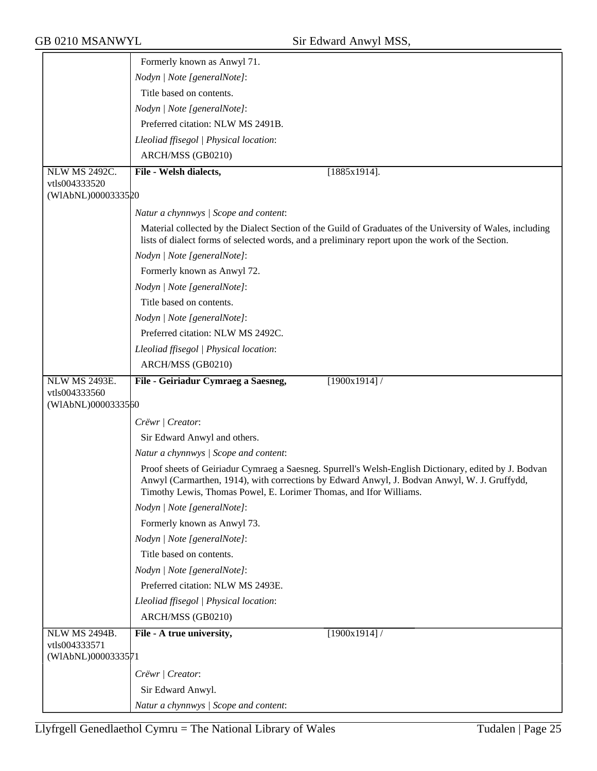|                                     | Formerly known as Anwyl 71.                                                                                                                                                                                                                                                 |
|-------------------------------------|-----------------------------------------------------------------------------------------------------------------------------------------------------------------------------------------------------------------------------------------------------------------------------|
|                                     | Nodyn   Note [generalNote]:                                                                                                                                                                                                                                                 |
|                                     | Title based on contents.                                                                                                                                                                                                                                                    |
|                                     | Nodyn   Note [generalNote]:                                                                                                                                                                                                                                                 |
|                                     | Preferred citation: NLW MS 2491B.                                                                                                                                                                                                                                           |
|                                     | Lleoliad ffisegol   Physical location:                                                                                                                                                                                                                                      |
|                                     | ARCH/MSS (GB0210)                                                                                                                                                                                                                                                           |
| NLW MS 2492C.                       | File - Welsh dialects,<br>$[1885x1914]$ .                                                                                                                                                                                                                                   |
| vtls004333520                       |                                                                                                                                                                                                                                                                             |
| (WIAbNL)0000333520                  |                                                                                                                                                                                                                                                                             |
|                                     | Natur a chynnwys / Scope and content:                                                                                                                                                                                                                                       |
|                                     | Material collected by the Dialect Section of the Guild of Graduates of the University of Wales, including<br>lists of dialect forms of selected words, and a preliminary report upon the work of the Section.                                                               |
|                                     | Nodyn   Note [generalNote]:                                                                                                                                                                                                                                                 |
|                                     | Formerly known as Anwyl 72.                                                                                                                                                                                                                                                 |
|                                     | Nodyn   Note [generalNote]:                                                                                                                                                                                                                                                 |
|                                     | Title based on contents.                                                                                                                                                                                                                                                    |
|                                     | Nodyn   Note [generalNote]:                                                                                                                                                                                                                                                 |
|                                     | Preferred citation: NLW MS 2492C.                                                                                                                                                                                                                                           |
|                                     | Lleoliad ffisegol   Physical location:                                                                                                                                                                                                                                      |
|                                     | ARCH/MSS (GB0210)                                                                                                                                                                                                                                                           |
| <b>NLW MS 2493E.</b>                | [1900x1914]/<br>File - Geiriadur Cymraeg a Saesneg,                                                                                                                                                                                                                         |
| vtls004333560<br>(WIAbNL)0000333560 |                                                                                                                                                                                                                                                                             |
|                                     | Crëwr   Creator:                                                                                                                                                                                                                                                            |
|                                     | Sir Edward Anwyl and others.                                                                                                                                                                                                                                                |
|                                     | Natur a chynnwys / Scope and content:                                                                                                                                                                                                                                       |
|                                     | Proof sheets of Geiriadur Cymraeg a Saesneg. Spurrell's Welsh-English Dictionary, edited by J. Bodvan<br>Anwyl (Carmarthen, 1914), with corrections by Edward Anwyl, J. Bodvan Anwyl, W. J. Gruffydd,<br>Timothy Lewis, Thomas Powel, E. Lorimer Thomas, and Ifor Williams. |
|                                     | Nodyn   Note [generalNote]:                                                                                                                                                                                                                                                 |
|                                     | Formerly known as Anwyl 73.                                                                                                                                                                                                                                                 |
|                                     | Nodyn   Note [generalNote]:                                                                                                                                                                                                                                                 |
|                                     | Title based on contents.                                                                                                                                                                                                                                                    |
|                                     | Nodyn   Note [generalNote]:                                                                                                                                                                                                                                                 |
|                                     | Preferred citation: NLW MS 2493E.                                                                                                                                                                                                                                           |
|                                     | Lleoliad ffisegol   Physical location:                                                                                                                                                                                                                                      |
|                                     | ARCH/MSS (GB0210)                                                                                                                                                                                                                                                           |
| NLW MS 2494B.<br>vtls004333571      | [1900x1914]<br>File - A true university,                                                                                                                                                                                                                                    |
| (WIAbNL)0000333571                  |                                                                                                                                                                                                                                                                             |
|                                     | Crëwr   Creator:                                                                                                                                                                                                                                                            |
|                                     | Sir Edward Anwyl.                                                                                                                                                                                                                                                           |
|                                     | Natur a chynnwys / Scope and content:                                                                                                                                                                                                                                       |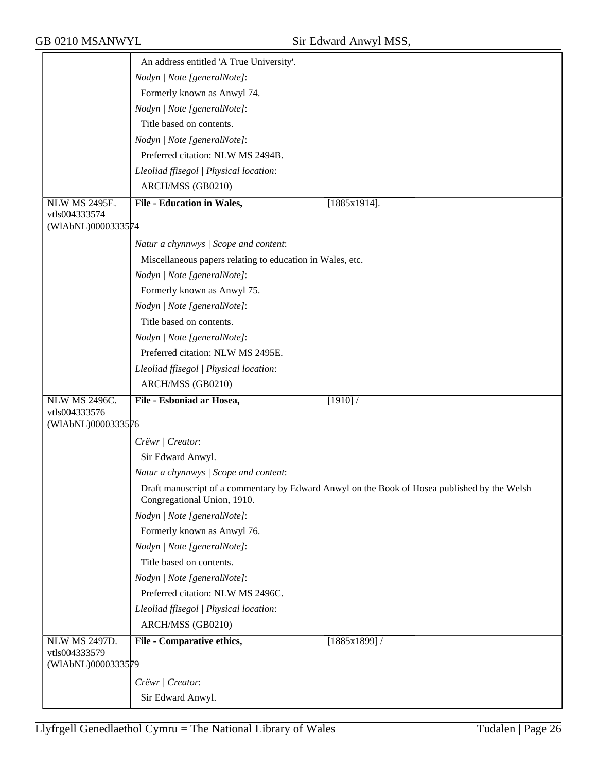|                                       | An address entitled 'A True University'.                                                                                    |
|---------------------------------------|-----------------------------------------------------------------------------------------------------------------------------|
|                                       | Nodyn   Note [generalNote]:                                                                                                 |
|                                       | Formerly known as Anwyl 74.                                                                                                 |
|                                       | Nodyn   Note [generalNote]:                                                                                                 |
|                                       | Title based on contents.                                                                                                    |
|                                       | Nodyn   Note [generalNote]:                                                                                                 |
|                                       | Preferred citation: NLW MS 2494B.                                                                                           |
|                                       | Lleoliad ffisegol   Physical location:                                                                                      |
|                                       | ARCH/MSS (GB0210)                                                                                                           |
|                                       |                                                                                                                             |
| <b>NLW MS 2495E.</b><br>vtls004333574 | <b>File - Education in Wales,</b><br>$[1885x1914]$ .                                                                        |
| (WIAbNL)0000333574                    |                                                                                                                             |
|                                       | Natur a chynnwys / Scope and content:                                                                                       |
|                                       | Miscellaneous papers relating to education in Wales, etc.                                                                   |
|                                       | Nodyn   Note [generalNote]:                                                                                                 |
|                                       | Formerly known as Anwyl 75.                                                                                                 |
|                                       | Nodyn   Note [generalNote]:                                                                                                 |
|                                       | Title based on contents.                                                                                                    |
|                                       | Nodyn   Note [generalNote]:                                                                                                 |
|                                       | Preferred citation: NLW MS 2495E.                                                                                           |
|                                       | Lleoliad ffisegol   Physical location:                                                                                      |
|                                       | ARCH/MSS (GB0210)                                                                                                           |
| <b>NLW MS 2496C.</b>                  | File - Esboniad ar Hosea,<br>[1910] /                                                                                       |
| vtls004333576<br>(WIAbNL)0000333576   |                                                                                                                             |
|                                       |                                                                                                                             |
|                                       | Crëwr   Creator:                                                                                                            |
|                                       | Sir Edward Anwyl.                                                                                                           |
|                                       | Natur a chynnwys / Scope and content:                                                                                       |
|                                       | Draft manuscript of a commentary by Edward Anwyl on the Book of Hosea published by the Welsh<br>Congregational Union, 1910. |
|                                       | Nodyn   Note [generalNote]:                                                                                                 |
|                                       | Formerly known as Anwyl 76.                                                                                                 |
|                                       | Nodyn   Note [generalNote]:                                                                                                 |
|                                       | Title based on contents.                                                                                                    |
|                                       | Nodyn   Note [generalNote]:                                                                                                 |
|                                       | Preferred citation: NLW MS 2496C.                                                                                           |
|                                       | Lleoliad ffisegol   Physical location:                                                                                      |
|                                       | ARCH/MSS (GB0210)                                                                                                           |
|                                       |                                                                                                                             |
| <b>NLW MS 2497D.</b>                  | File - Comparative ethics,<br>[1885x1899]/                                                                                  |
| vtls004333579<br>(WIAbNL)0000333579   |                                                                                                                             |
|                                       | Crëwr   Creator:                                                                                                            |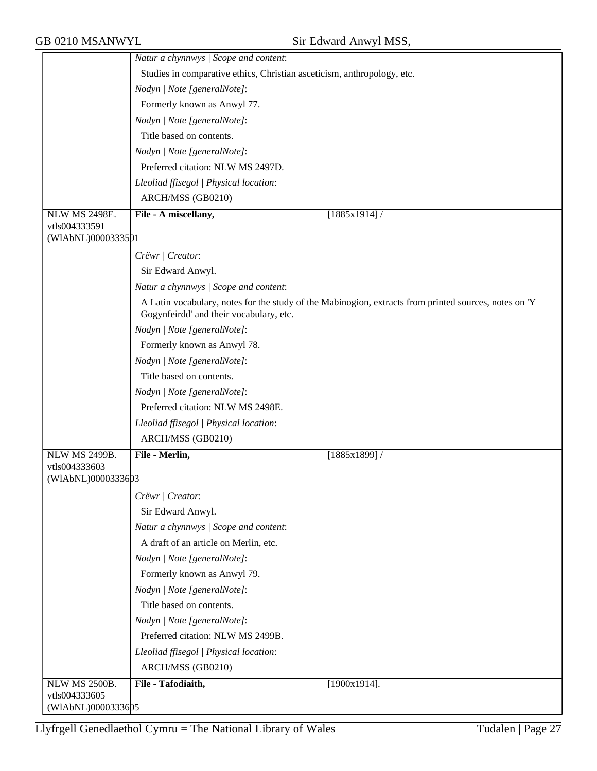|                                     | Natur a chynnwys / Scope and content:                                   |                                                                                                       |
|-------------------------------------|-------------------------------------------------------------------------|-------------------------------------------------------------------------------------------------------|
|                                     | Studies in comparative ethics, Christian asceticism, anthropology, etc. |                                                                                                       |
|                                     | Nodyn   Note [generalNote]:                                             |                                                                                                       |
|                                     | Formerly known as Anwyl 77.                                             |                                                                                                       |
|                                     | Nodyn   Note [generalNote]:                                             |                                                                                                       |
|                                     | Title based on contents.                                                |                                                                                                       |
|                                     | Nodyn   Note [generalNote]:                                             |                                                                                                       |
|                                     | Preferred citation: NLW MS 2497D.                                       |                                                                                                       |
|                                     | Lleoliad ffisegol   Physical location:                                  |                                                                                                       |
|                                     | ARCH/MSS (GB0210)                                                       |                                                                                                       |
| <b>NLW MS 2498E.</b>                | File - A miscellany,                                                    | $[1885x1914]$ /                                                                                       |
| vtls004333591                       |                                                                         |                                                                                                       |
| (WIAbNL)0000333591                  |                                                                         |                                                                                                       |
|                                     | Crëwr   Creator:                                                        |                                                                                                       |
|                                     | Sir Edward Anwyl.                                                       |                                                                                                       |
|                                     | Natur a chynnwys / Scope and content:                                   |                                                                                                       |
|                                     | Gogynfeirdd' and their vocabulary, etc.                                 | A Latin vocabulary, notes for the study of the Mabinogion, extracts from printed sources, notes on 'Y |
|                                     | Nodyn   Note [generalNote]:                                             |                                                                                                       |
|                                     | Formerly known as Anwyl 78.                                             |                                                                                                       |
|                                     | Nodyn   Note [generalNote]:                                             |                                                                                                       |
|                                     | Title based on contents.                                                |                                                                                                       |
|                                     | Nodyn   Note [generalNote]:                                             |                                                                                                       |
|                                     | Preferred citation: NLW MS 2498E.                                       |                                                                                                       |
|                                     | Lleoliad ffisegol   Physical location:                                  |                                                                                                       |
|                                     | ARCH/MSS (GB0210)                                                       |                                                                                                       |
| NLW MS 2499B.                       | File - Merlin,                                                          | $[1885x1899]$ /                                                                                       |
| vtls004333603                       |                                                                         |                                                                                                       |
| (WIAbNL)0000333603                  |                                                                         |                                                                                                       |
|                                     | Crëwr   Creator:                                                        |                                                                                                       |
|                                     | Sir Edward Anwyl.                                                       |                                                                                                       |
|                                     | Natur a chynnwys / Scope and content:                                   |                                                                                                       |
|                                     | A draft of an article on Merlin, etc.                                   |                                                                                                       |
|                                     | Nodyn   Note [generalNote]:                                             |                                                                                                       |
|                                     | Formerly known as Anwyl 79.                                             |                                                                                                       |
|                                     | Nodyn   Note [generalNote]:                                             |                                                                                                       |
|                                     | Title based on contents.                                                |                                                                                                       |
|                                     | Nodyn   Note [generalNote]:                                             |                                                                                                       |
|                                     | Preferred citation: NLW MS 2499B.                                       |                                                                                                       |
|                                     | Lleoliad ffisegol   Physical location:                                  |                                                                                                       |
|                                     | ARCH/MSS (GB0210)                                                       |                                                                                                       |
| <b>NLW MS 2500B.</b>                | File - Tafodiaith,                                                      | $[1900x1914]$ .                                                                                       |
| vtls004333605<br>(WIAbNL)0000333605 |                                                                         |                                                                                                       |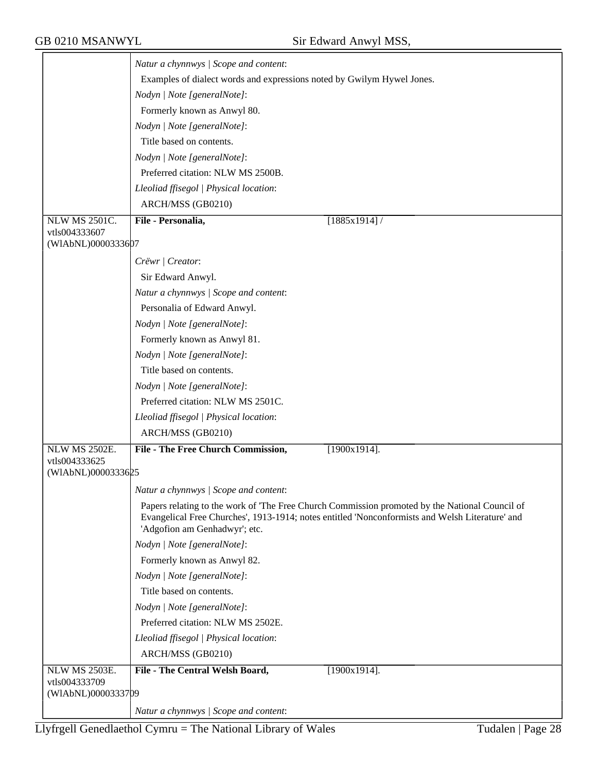|                                     | Natur a chynnwys / Scope and content:                                                                                                                                                                                              |
|-------------------------------------|------------------------------------------------------------------------------------------------------------------------------------------------------------------------------------------------------------------------------------|
|                                     | Examples of dialect words and expressions noted by Gwilym Hywel Jones.                                                                                                                                                             |
|                                     | Nodyn   Note [generalNote]:                                                                                                                                                                                                        |
|                                     | Formerly known as Anwyl 80.                                                                                                                                                                                                        |
|                                     |                                                                                                                                                                                                                                    |
|                                     | Nodyn   Note [generalNote]:                                                                                                                                                                                                        |
|                                     | Title based on contents.                                                                                                                                                                                                           |
|                                     | Nodyn   Note [generalNote]:                                                                                                                                                                                                        |
|                                     | Preferred citation: NLW MS 2500B.                                                                                                                                                                                                  |
|                                     | Lleoliad ffisegol   Physical location:                                                                                                                                                                                             |
|                                     | ARCH/MSS (GB0210)                                                                                                                                                                                                                  |
| <b>NLW MS 2501C.</b>                | File - Personalia,<br>$[1885x1914]$ /                                                                                                                                                                                              |
| vtls004333607<br>(WIAbNL)0000333607 |                                                                                                                                                                                                                                    |
|                                     | Crëwr   Creator:                                                                                                                                                                                                                   |
|                                     | Sir Edward Anwyl.                                                                                                                                                                                                                  |
|                                     | Natur a chynnwys / Scope and content:                                                                                                                                                                                              |
|                                     | Personalia of Edward Anwyl.                                                                                                                                                                                                        |
|                                     | Nodyn   Note [generalNote]:                                                                                                                                                                                                        |
|                                     | Formerly known as Anwyl 81.                                                                                                                                                                                                        |
|                                     | Nodyn   Note [generalNote]:                                                                                                                                                                                                        |
|                                     | Title based on contents.                                                                                                                                                                                                           |
|                                     | Nodyn   Note [generalNote]:                                                                                                                                                                                                        |
|                                     | Preferred citation: NLW MS 2501C.                                                                                                                                                                                                  |
|                                     | Lleoliad ffisegol   Physical location:                                                                                                                                                                                             |
|                                     | ARCH/MSS (GB0210)                                                                                                                                                                                                                  |
| <b>NLW MS 2502E.</b>                | File - The Free Church Commission,<br>$[1900x1914]$ .                                                                                                                                                                              |
| vtls004333625<br>(WIAbNL)0000333625 |                                                                                                                                                                                                                                    |
|                                     |                                                                                                                                                                                                                                    |
|                                     | Natur a chynnwys / Scope and content:                                                                                                                                                                                              |
|                                     | Papers relating to the work of 'The Free Church Commission promoted by the National Council of<br>Evangelical Free Churches', 1913-1914; notes entitled 'Nonconformists and Welsh Literature' and<br>'Adgofion am Genhadwyr'; etc. |
|                                     | Nodyn   Note [generalNote]:                                                                                                                                                                                                        |
|                                     | Formerly known as Anwyl 82.                                                                                                                                                                                                        |
|                                     | Nodyn   Note [generalNote]:                                                                                                                                                                                                        |
|                                     | Title based on contents.                                                                                                                                                                                                           |
|                                     | Nodyn   Note [generalNote]:                                                                                                                                                                                                        |
|                                     | Preferred citation: NLW MS 2502E.                                                                                                                                                                                                  |
|                                     | Lleoliad ffisegol   Physical location:                                                                                                                                                                                             |
|                                     | ARCH/MSS (GB0210)                                                                                                                                                                                                                  |
| <b>NLW MS 2503E.</b>                | File - The Central Welsh Board,<br>$[1900x1914]$ .                                                                                                                                                                                 |
| vtls004333709                       |                                                                                                                                                                                                                                    |
| (WIAbNL)0000333709                  |                                                                                                                                                                                                                                    |
|                                     | Natur a chynnwys / Scope and content:                                                                                                                                                                                              |